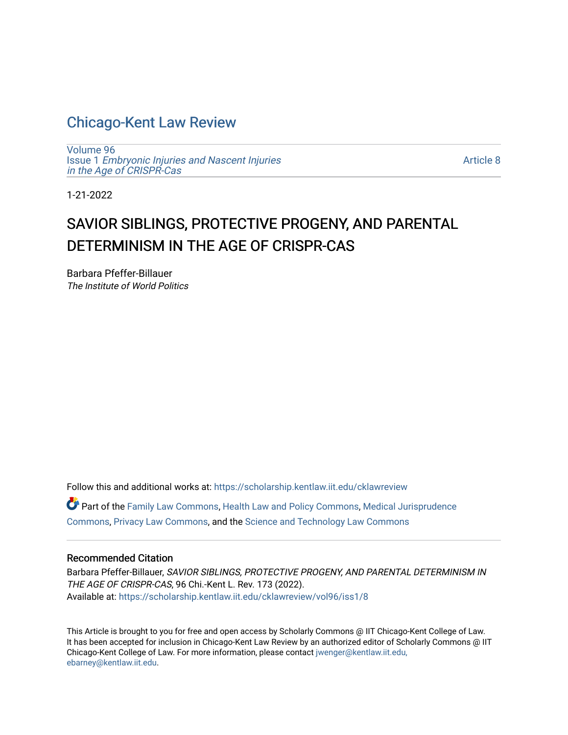## [Chicago-Kent Law Review](https://scholarship.kentlaw.iit.edu/cklawreview)

[Volume 96](https://scholarship.kentlaw.iit.edu/cklawreview/vol96) Issue 1 [Embryonic Injuries and Nascent Injuries](https://scholarship.kentlaw.iit.edu/cklawreview/vol96/iss1)  [in the Age of CRISPR-Cas](https://scholarship.kentlaw.iit.edu/cklawreview/vol96/iss1)

[Article 8](https://scholarship.kentlaw.iit.edu/cklawreview/vol96/iss1/8) 

1-21-2022

# SAVIOR SIBLINGS, PROTECTIVE PROGENY, AND PARENTAL DETERMINISM IN THE AGE OF CRISPR-CAS

Barbara Pfeffer-Billauer The Institute of World Politics

Follow this and additional works at: [https://scholarship.kentlaw.iit.edu/cklawreview](https://scholarship.kentlaw.iit.edu/cklawreview?utm_source=scholarship.kentlaw.iit.edu%2Fcklawreview%2Fvol96%2Fiss1%2F8&utm_medium=PDF&utm_campaign=PDFCoverPages) 

Part of the [Family Law Commons,](http://network.bepress.com/hgg/discipline/602?utm_source=scholarship.kentlaw.iit.edu%2Fcklawreview%2Fvol96%2Fiss1%2F8&utm_medium=PDF&utm_campaign=PDFCoverPages) [Health Law and Policy Commons](http://network.bepress.com/hgg/discipline/901?utm_source=scholarship.kentlaw.iit.edu%2Fcklawreview%2Fvol96%2Fiss1%2F8&utm_medium=PDF&utm_campaign=PDFCoverPages), [Medical Jurisprudence](http://network.bepress.com/hgg/discipline/860?utm_source=scholarship.kentlaw.iit.edu%2Fcklawreview%2Fvol96%2Fiss1%2F8&utm_medium=PDF&utm_campaign=PDFCoverPages)  [Commons](http://network.bepress.com/hgg/discipline/860?utm_source=scholarship.kentlaw.iit.edu%2Fcklawreview%2Fvol96%2Fiss1%2F8&utm_medium=PDF&utm_campaign=PDFCoverPages), [Privacy Law Commons](http://network.bepress.com/hgg/discipline/1234?utm_source=scholarship.kentlaw.iit.edu%2Fcklawreview%2Fvol96%2Fiss1%2F8&utm_medium=PDF&utm_campaign=PDFCoverPages), and the [Science and Technology Law Commons](http://network.bepress.com/hgg/discipline/875?utm_source=scholarship.kentlaw.iit.edu%2Fcklawreview%2Fvol96%2Fiss1%2F8&utm_medium=PDF&utm_campaign=PDFCoverPages)

## Recommended Citation

Barbara Pfeffer-Billauer, SAVIOR SIBLINGS, PROTECTIVE PROGENY, AND PARENTAL DETERMINISM IN THE AGE OF CRISPR-CAS, 96 Chi.-Kent L. Rev. 173 (2022). Available at: [https://scholarship.kentlaw.iit.edu/cklawreview/vol96/iss1/8](https://scholarship.kentlaw.iit.edu/cklawreview/vol96/iss1/8?utm_source=scholarship.kentlaw.iit.edu%2Fcklawreview%2Fvol96%2Fiss1%2F8&utm_medium=PDF&utm_campaign=PDFCoverPages)

This Article is brought to you for free and open access by Scholarly Commons @ IIT Chicago-Kent College of Law. It has been accepted for inclusion in Chicago-Kent Law Review by an authorized editor of Scholarly Commons @ IIT Chicago-Kent College of Law. For more information, please contact [jwenger@kentlaw.iit.edu,](mailto:jwenger@kentlaw.iit.edu,%20ebarney@kentlaw.iit.edu) [ebarney@kentlaw.iit.edu](mailto:jwenger@kentlaw.iit.edu,%20ebarney@kentlaw.iit.edu).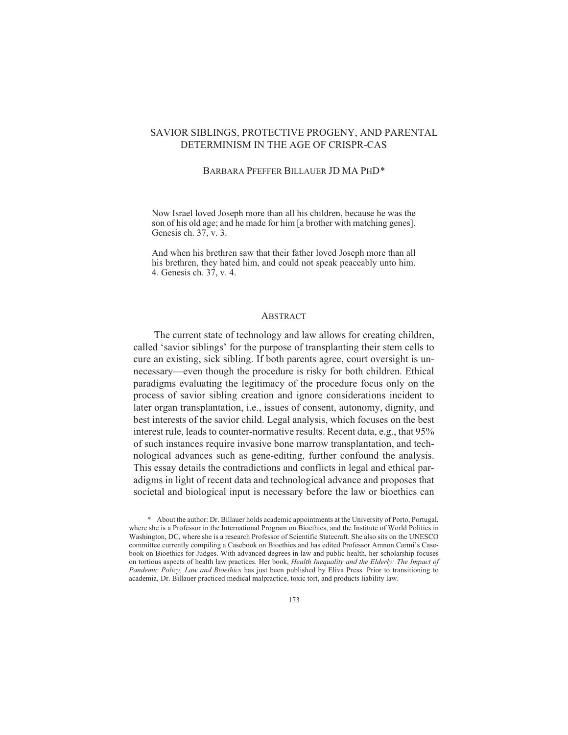## SAVIOR SIBLINGS, PROTECTIVE PROGENY, AND PARENTAL DETERMINISM IN THE AGE OF CRISPR-CAS

#### BARBARA PFEFFER BILLAUER JD MA PHD\*

Now Israel loved Joseph more than all his children, because he was the son of his old age; and he made for him [a brother with matching genes]. Genesis ch. 37, v. 3.

And when his brethren saw that their father loved Joseph more than all his brethren, they hated him, and could not speak peaceably unto him. 4. Genesis ch. 37, v. 4.

#### **ABSTRACT**

The current state of technology and law allows for creating children, called 'savior siblings' for the purpose of transplanting their stem cells to cure an existing, sick sibling. If both parents agree, court oversight is unnecessary—even though the procedure is risky for both children. Ethical paradigms evaluating the legitimacy of the procedure focus only on the process of savior sibling creation and ignore considerations incident to later organ transplantation, i.e., issues of consent, autonomy, dignity, and best interests of the savior child. Legal analysis, which focuses on the best interest rule, leads to counter-normative results. Recent data, e.g., that 95% of such instances require invasive bone marrow transplantation, and technological advances such as gene-editing, further confound the analysis. This essay details the contradictions and conflicts in legal and ethical paradigms in light of recent data and technological advance and proposes that societal and biological input is necessary before the law or bioethics can

<sup>\*</sup> About the author: Dr. Billauer holds academic appointments at the University of Porto, Portugal, where she is a Professor in the International Program on Bioethics, and the Institute of World Politics in Washington, DC, where she is a research Professor of Scientific Statecraft. She also sits on the UNESCO committee currently compiling a Casebook on Bioethics and has edited Professor Amnon Carmi's Casebook on Bioethics for Judges. With advanced degrees in law and public health, her scholarship focuses on tortious aspects of health law practices. Her book, Health Inequality and the Elderly: The Impact of Pandemic Policy, Law and Bioethics has just been published by Eliva Press. Prior to transitioning to academia, Dr. Billauer practiced medical malpractice, toxic tort, and products liability law.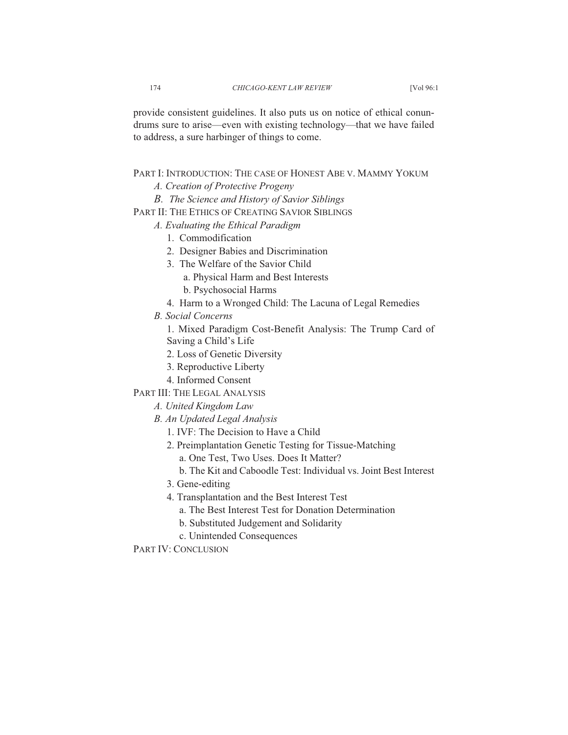provide consistent guidelines. It also puts us on notice of ethical conundrums sure to arise—even with existing technology—that we have failed to address, a sure harbinger of things to come.

## PART I: INTRODUCTION: THE CASE OF HONEST ABE V. MAMMY YOKUM

- *A. Creation of Protective Progeny*
- *B. The Science and History of Savior Siblings*
- PART II: THE ETHICS OF CREATING SAVIOR SIBLINGS
	- *A. Evaluating the Ethical Paradigm* 
		- 1. Commodification
		- 2. Designer Babies and Discrimination
		- 3. The Welfare of the Savior Child
			- a. Physical Harm and Best Interests
			- b. Psychosocial Harms
		- 4. Harm to a Wronged Child: The Lacuna of Legal Remedies
	- *B. Social Concerns*

1. Mixed Paradigm Cost-Benefit Analysis: The Trump Card of Saving a Child's Life

- 2. Loss of Genetic Diversity
- 3. Reproductive Liberty
- 4. Informed Consent

PART III: THE LEGAL ANALYSIS

- *A. United Kingdom Law*
- *B. An Updated Legal Analysis*
	- 1. IVF: The Decision to Have a Child
	- 2. Preimplantation Genetic Testing for Tissue-Matching
		- a. One Test, Two Uses. Does It Matter?
		- b. The Kit and Caboodle Test: Individual vs. Joint Best Interest
	- 3. Gene-editing
	- 4. Transplantation and the Best Interest Test
		- a. The Best Interest Test for Donation Determination
		- b. Substituted Judgement and Solidarity
		- c. Unintended Consequences

PART IV: CONCLUSION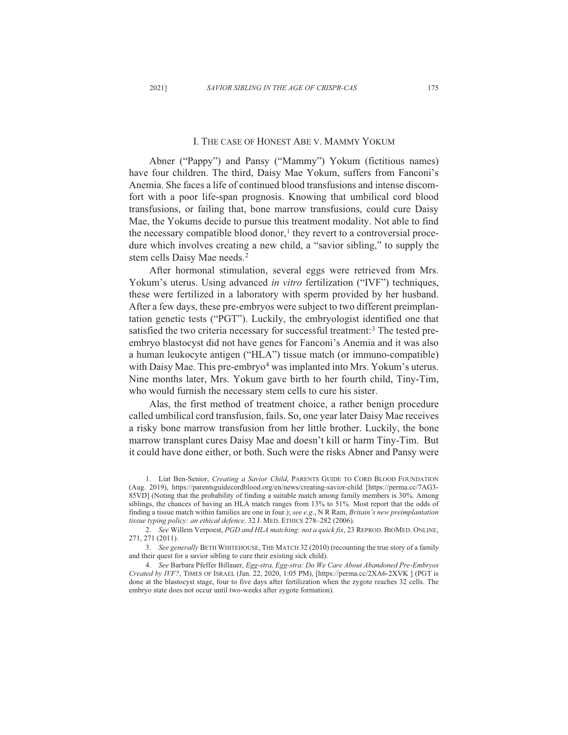#### I. THE CASE OF HONEST ABE V. MAMMY YOKUM

Abner ("Pappy") and Pansy ("Mammy") Yokum (fictitious names) have four children. The third, Daisy Mae Yokum, suffers from Fanconi's Anemia. She faces a life of continued blood transfusions and intense discomfort with a poor life-span prognosis. Knowing that umbilical cord blood transfusions, or failing that, bone marrow transfusions, could cure Daisy Mae, the Yokums decide to pursue this treatment modality. Not able to find the necessary compatible blood donor,<sup>1</sup> they revert to a controversial procedure which involves creating a new child, a "savior sibling," to supply the stem cells Daisy Mae needs.<sup>2</sup>

After hormonal stimulation, several eggs were retrieved from Mrs. Yokum's uterus. Using advanced *in vitro* fertilization ("IVF") techniques, these were fertilized in a laboratory with sperm provided by her husband. After a few days, these pre-embryos were subject to two different preimplantation genetic tests ("PGT"). Luckily, the embryologist identified one that satisfied the two criteria necessary for successful treatment:<sup>3</sup> The tested preembryo blastocyst did not have genes for Fanconi's Anemia and it was also a human leukocyte antigen ("HLA") tissue match (or immuno-compatible) with Daisy Mae. This pre-embryo<sup>4</sup> was implanted into Mrs. Yokum's uterus. Nine months later, Mrs. Yokum gave birth to her fourth child, Tiny-Tim, who would furnish the necessary stem cells to cure his sister.

Alas, the first method of treatment choice, a rather benign procedure called umbilical cord transfusion, fails. So, one year later Daisy Mae receives a risky bone marrow transfusion from her little brother. Luckily, the bone marrow transplant cures Daisy Mae and doesn't kill or harm Tiny-Tim. But it could have done either, or both. Such were the risks Abner and Pansy were

<sup>1.</sup> Liat Ben-Senior, Creating a Savior Child, PARENTS GUIDE TO CORD BLOOD FOUNDATION (Aug. 2019), https://parentsguidecordblood.org/en/news/creating-savior-child [https://perma.cc/7AG3-85VD] (Noting that the probability of finding a suitable match among family members is 30%. Among siblings, the chances of having an HLA match ranges from 13% to 51%. Most report that the odds of finding a tissue match within families are one in four.); see  $e.g., \text{ }NR\text{ }Ram, Britain's$  new preimplantation *tissue typing policy: an ethical defence,* 32 J. MED. ETHICS 278-282 (2006).

<sup>2.</sup> *See* Willem Verpoest, *PGD and HLA matching: not a quick fix*, 23 REPROD. BIOMED. ONLINE, 271, 271 (2011).

<sup>3.</sup> See generally BETH WHITEHOUSE, THE MATCH 32 (2010) (recounting the true story of a family and their quest for a savior sibling to cure their existing sick child).

<sup>4.</sup> See Barbara Pfeffer Billauer, Egg-stra, Egg-stra: Do We Care About Abandoned Pre-Embryos *Created by IVF?*, TIMES OF ISRAEL (Jan. 22, 2020, 1:05 PM), [https://perma.cc/2XA6-2XVK] (PGT is done at the blastocyst stage, four to five days after fertilization when the zygote reaches 32 cells. The embryo state does not occur until two-weeks after zygote formation).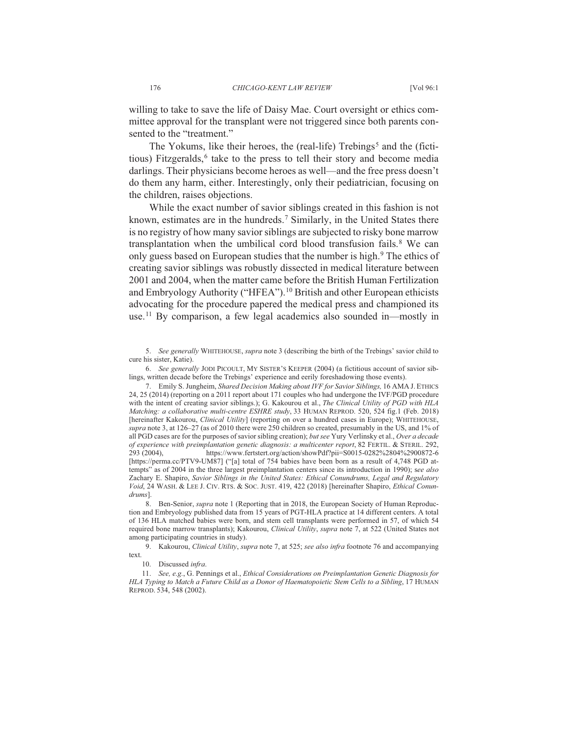willing to take to save the life of Daisy Mae. Court oversight or ethics committee approval for the transplant were not triggered since both parents consented to the "treatment."

The Yokums, like their heroes, the (real-life) Trebings<sup>5</sup> and the (fictitious) Fitzgeralds,<sup>6</sup> take to the press to tell their story and become media darlings. Their physicians become heroes as well—and the free press doesn't do them any harm, either. Interestingly, only their pediatrician, focusing on the children, raises objections.

While the exact number of savior siblings created in this fashion is not known, estimates are in the hundreds.<sup>7</sup> Similarly, in the United States there is no registry of how many savior siblings are subjected to risky bone marrow transplantation when the umbilical cord blood transfusion fails.<sup>8</sup> We can only guess based on European studies that the number is high.<sup>9</sup> The ethics of creating savior siblings was robustly dissected in medical literature between 2001 and 2004, when the matter came before the British Human Fertilization and Embryology Authority ("HFEA").<sup>10</sup> British and other European ethicists advocating for the procedure papered the medical press and championed its use.<sup>11</sup> By comparison, a few legal academics also sounded in—mostly in

5. See generally WHITEHOUSE, supra note 3 (describing the birth of the Trebings' savior child to cure his sister, Katie).

6. See generally JODI PICOULT, MY SISTER'S KEEPER (2004) (a fictitious account of savior siblings, written decade before the Trebings' experience and eerily foreshadowing those events).

7. Emily S. Jungheim, Shared Decision Making about IVF for Savior Siblings, 16 AMA J. ETHICS 24, 25 (2014) (reporting on a 2011 report about 171 couples who had undergone the IVF/PGD procedure with the intent of creating savior siblings.); G. Kakourou et al., The Clinical Utility of PGD with HLA Matching: a collaborative multi-centre ESHRE study, 33 HUMAN REPROD, 520, 524 fig.1 (Feb. 2018) [hereinafter Kakourou, Clinical Utility] (reporting on over a hundred cases in Europe); WHITEHOUSE, supra note 3, at 126–27 (as of 2010 there were 250 children so created, presumably in the US, and 1% of all PGD cases are for the purposes of savior sibling creation); but see Yury Verlinsky et al., Over a decade of experience with preimplantation genetic diagnosis: a multicenter report, 82 FERTIL. & STERIL. 292,  $293(2004)$ , https://www.fertstert.org/action/showPdf?pii=S0015-0282%2804%2900872-6 [https://perma.cc/PTV9-UM87] ("[a] total of 754 babies have been born as a result of 4.748 PGD attempts" as of 2004 in the three largest preimplantation centers since its introduction in 1990); see also Zachary E. Shapiro, Savior Siblings in the United States: Ethical Conundrums, Legal and Regulatory Void, 24 WASH. & LEE J. CIV. RTS. & SOC. JUST. 419, 422 (2018) [hereinafter Shapiro, Ethical Conundrums].

8. Ben-Senior, *supra* note 1 (Reporting that in 2018, the European Society of Human Reproduction and Embryology published data from 15 years of PGT-HLA practice at 14 different centers. A total of 136 HLA matched babies were born, and stem cell transplants were performed in 57, of which 54 required bone marrow transplants); Kakourou, *Clinical Utility*, *supra* note 7, at 522 (United States not among participating countries in study).

9. Kakourou, Clinical Utility, supra note 7, at 525; see also infra footnote 76 and accompanying text.

10. Discussed *infra*.

11. See, e.g., G. Pennings et al., *Ethical Considerations on Preimplantation Genetic Diagnosis for* HLA Typing to Match a Future Child as a Donor of Haematopoietic Stem Cells to a Sibling, 17 HUMAN REPROD. 534, 548 (2002).

176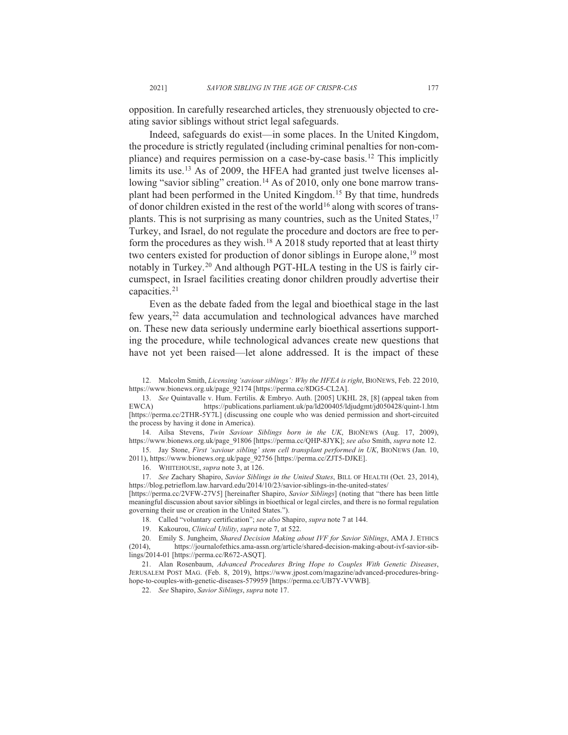opposition. In carefully researched articles, they strenuously objected to creating savior siblings without strict legal safeguards.

Indeed, safeguards do exist—in some places. In the United Kingdom, the procedure is strictly regulated (including criminal penalties for non-compliance) and requires permission on a case-by-case basis.<sup>12</sup> This implicitly limits its use.<sup>13</sup> As of 2009, the HFEA had granted just twelve licenses allowing "savior sibling" creation.<sup>14</sup> As of 2010, only one bone marrow transplant had been performed in the United Kingdom.<sup>15</sup> By that time, hundreds of donor children existed in the rest of the world<sup>16</sup> along with scores of transplants. This is not surprising as many countries, such as the United States,  $17$ Turkey, and Israel, do not regulate the procedure and doctors are free to perform the procedures as they wish.<sup>18</sup> A 2018 study reported that at least thirty two centers existed for production of donor siblings in Europe alone,<sup>19</sup> most notably in Turkey.<sup>20</sup> And although PGT-HLA testing in the US is fairly circumspect, in Israel facilities creating donor children proudly advertise their capacities.<sup>21</sup>

Even as the debate faded from the legal and bioethical stage in the last few years,<sup>22</sup> data accumulation and technological advances have marched on. These new data seriously undermine early bioethical assertions supporting the procedure, while technological advances create new questions that have not yet been raised—let alone addressed. It is the impact of these

12. Malcolm Smith, *Licensing 'saviour siblings': Why the HFEA is right*, BIONEWS, Feb. 22 2010, https://www.bionews.org.uk/page 92174 [https://perma.cc/8DG5-CL2A].

13. See Quintavalle v. Hum. Fertilis. & Embryo. Auth. [2005] UKHL 28, [8] (appeal taken from EWCA) https://publications.parliament.uk/pa/ld200405/ldiudomt/id050428/quint-1.htm https://publications.parliament.uk/pa/ld200405/ldjudgmt/jd050428/quint-1.htm [https://perma.cc/2THR-5Y7L] (discussing one couple who was denied permission and short-circuited the process by having it done in America).

14. Ailsa Stevens, Twin Saviour Siblings born in the UK, BIONEWS (Aug. 17, 2009), https://www.bionews.org.uk/page 91806 [https://perma.cc/QHP-8JYK]; see also Smith, supra note 12.

15. Jay Stone, First 'saviour sibling' stem cell transplant performed in UK, BIONEWS (Jan. 10, 2011), https://www.bionews.org.uk/page 92756 [https://perma.cc/ZJT5-DJKE].

16. WHITEHOUSE, *supra* note 3, at 126.

17. See Zachary Shapiro, Savior Siblings in the United States, BILL OF HEALTH (Oct. 23, 2014), https://blog.petrieflom.law.harvard.edu/2014/10/23/savior-siblings-in-the-united-states/

[https://perma.cc/2VFW-27V5] [hereinafter Shapiro, Savior Siblings] (noting that "there has been little meaningful discussion about savior siblings in bioethical or legal circles, and there is no formal regulation governing their use or creation in the United States.").

18. Called "voluntary certification"; see also Shapiro, supra note 7 at 144.

19. Kakourou, *Clinical Utility*, *supra* note 7, at 522.

20. Emily S. Jungheim, *Shared Decision Making about IVF for Savior Siblings*, AMA J. ETHICS (2014), https://journalofethics.ama-assn.org/article/shared-decision-making-about-ivf-savior-sibhttps://journalofethics.ama-assn.org/article/shared-decision-making-about-ivf-savior-siblings/2014-01 [https://perma.cc/R672-ASQT].

21. Alan Rosenbaum, *Advanced Procedures Bring Hope to Couples With Genetic Diseases*, JERUSALEM POST MAG. (Feb. 8, 2019), https://www.jpost.com/magazine/advanced-procedures-bringhope-to-couples-with-genetic-diseases-579959 [https://perma.cc/UB7Y-VVWB].

22. See Shapiro, Savior Siblings, supra note 17.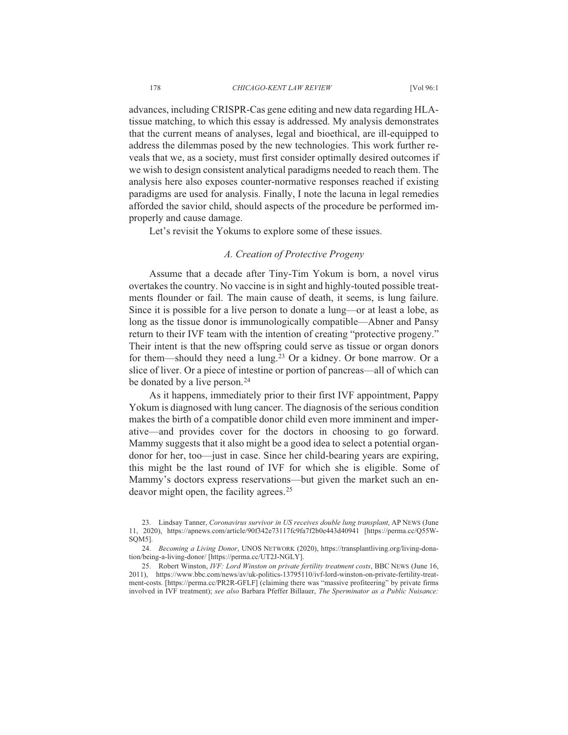advances, including CRISPR-Cas gene editing and new data regarding HLAtissue matching, to which this essay is addressed. My analysis demonstrates that the current means of analyses, legal and bioethical, are ill-equipped to address the dilemmas posed by the new technologies. This work further reveals that we, as a society, must first consider optimally desired outcomes if we wish to design consistent analytical paradigms needed to reach them. The analysis here also exposes counter-normative responses reached if existing paradigms are used for analysis. Finally, I note the lacuna in legal remedies afforded the savior child, should aspects of the procedure be performed improperly and cause damage.

Let's revisit the Yokums to explore some of these issues.

#### *A. Creation of Protective Progeny*

Assume that a decade after Tiny-Tim Yokum is born, a novel virus overtakes the country. No vaccine is in sight and highly-touted possible treatments flounder or fail. The main cause of death, it seems, is lung failure. Since it is possible for a live person to donate a lung—or at least a lobe, as long as the tissue donor is immunologically compatible—Abner and Pansy return to their IVF team with the intention of creating "protective progeny." Their intent is that the new offspring could serve as tissue or organ donors for them—should they need a lung.<sup>23</sup> Or a kidney. Or bone marrow. Or a slice of liver. Or a piece of intestine or portion of pancreas—all of which can be donated by a live person.<sup>24</sup>

As it happens, immediately prior to their first IVF appointment, Pappy Yokum is diagnosed with lung cancer. The diagnosis of the serious condition makes the birth of a compatible donor child even more imminent and imperative—and provides cover for the doctors in choosing to go forward. Mammy suggests that it also might be a good idea to select a potential organdonor for her, too—just in case. Since her child-bearing years are expiring, this might be the last round of IVF for which she is eligible. Some of Mammy's doctors express reservations—but given the market such an endeavor might open, the facility agrees.<sup>25</sup>

<sup>23.</sup> Lindsay Tanner, Coronavirus survivor in US receives double lung transplant, AP NEWS (June 11, 2020), https://apnews.com/article/90f342e73117fc9fa7f2b0e443d40941 [https://perma.cc/Q55W-SOM5].

<sup>24.</sup> Becoming a Living Donor, UNOS NETWORK (2020), https://transplantliving.org/living-donation/being-a-living-donor/ [https://perma.cc/UT2J-NGLY].

<sup>25.</sup> Robert Winston, *IVF: Lord Winston on private fertility treatment costs*, BBC NEWS (June 16, 2011), https://www.bbc.com/news/av/uk-politics-13795110/ivf-lord-winston-on-private-fertility-treatment-costs. [https://perma.cc/PR2R-GFLF] (claiming there was "massive profiteering" by private firms involved in IVF treatment); see also Barbara Pfeffer Billauer, The Sperminator as a Public Nuisance: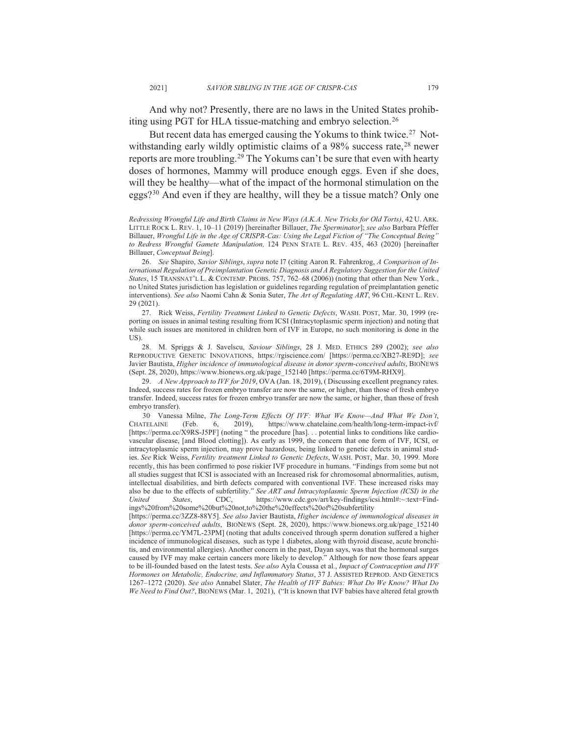And why not? Presently, there are no laws in the United States prohibiting using PGT for HLA tissue-matching and embryo selection.<sup>26</sup>

But recent data has emerged causing the Yokums to think twice.<sup>27</sup> Notwithstanding early wildly optimistic claims of a 98% success rate,  $28$  newer reports are more troubling.<sup>29</sup> The Yokums can't be sure that even with hearty doses of hormones, Mammy will produce enough eggs. Even if she does, will they be healthy—what of the impact of the hormonal stimulation on the eggs?<sup>30</sup> And even if they are healthy, will they be a tissue match? Only one

*Redressing Wrongful Life and Birth Claims in New Ways (A.K.A. New Tricks for Old Torts)*, 42 U. ARK. LITTLE ROCK L. REV. 1, 10-11 (2019) [hereinafter Billauer, *The Sperminator*]; see also Barbara Pfeffer Billauer, Wrongful Life in the Age of CRISPR-Cas: Using the Legal Fiction of "The Conceptual Being" to Redress Wrongful Gamete Manipulation, 124 PENN STATE L. REV. 435, 463 (2020) [hereinafter Billauer, Conceptual Being].

26. See Shapiro, Savior Siblings, supra note 17 (citing Aaron R. Fahrenkrog, A Comparison of In*ternational Regulation of Preimplantation Genetic Diagnosis and A Regulatory Suggestion for the United*  States, 15 TRANSNAT'L L. & CONTEMP. PROBS. 757, 762–68 (2006)) (noting that other than New York., no United States jurisdiction has legislation or guidelines regarding regulation of preimplantation genetic interventions). See also Naomi Cahn & Sonia Suter, *The Art of Regulating ART*, 96 CHI.-KENT L. REV. 29 (2021).

27. Rick Weiss, Fertility Treatment Linked to Genetic Defects, WASH. POST, Mar. 30, 1999 (reporting on issues in animal testing resulting from ICSI (Intracytoplasmic sperm injection) and noting that while such issues are monitored in children born of IVF in Europe, no such monitoring is done in the  $US$ 

28. M. Spriggs & J. Savelscu, Saviour Siblings, 28 J. MED. ETHICS 289 (2002); see also REPRODUCTIVE GENETIC INNOVATIONS, https://rgiscience.com/ [https://perma.cc/XB27-RE9D]; see Javier Bautista, *Higher incidence of immunological disease in donor sperm-conceived adults*, BIONEWS (Sept. 28, 2020), https://www.bionews.org.uk/page 152140 [https://perma.cc/6T9M-RHX9].

29. *A New Approach to IVF for 2019*, OVA (Jan. 18, 2019), (Discussing excellent pregnancy rates. Indeed, success rates for frozen embryo transfer are now the same, or higher, than those of fresh embryo transfer. Indeed, success rates for frozen embryo transfer are now the same, or higher, than those of fresh embryo transfer).

30 Vanessa Milne, *The Long-Term Effects Of IVF: What We Know—And What We Don't*, CHATELAINE (Feb. 6, 2019), https://www.chatelaine.com/health/long-term-impact-ivf/  $(Feb. 6, 2019)$ , https://www.chatelaine.com/health/long-term-impact-ivf/ [https://perma.cc/X9RS-J5PF] (noting "the procedure [has]... potential links to conditions like cardiovascular disease, [and Blood clotting]). As early as 1999, the concern that one form of IVF, ICSI, or intracytoplasmic sperm injection, may prove hazardous, being linked to genetic defects in animal studies. See Rick Weiss, Fertility treatment Linked to Genetic Defects, WASH. POST, Mar. 30, 1999. More recently, this has been confirmed to pose riskier IVF procedure in humans. "Findings from some but not all studies suggest that ICSI is associated with an Increased risk for chromosomal abnormalities, autism, intellectual disabilities, and birth defects compared with conventional IVF. These increased risks may also be due to the effects of subfertility." See ART and Intracytoplasmic Sperm Injection (ICSI) in the United States, CDC, https://www.cdc.gov/art/key-findings/icsi.html#:~:text=Find-*United States*, CDC, https://www.cdc.gov/art/key-findings/icsi.html#:~:text=Findings%20from%20some%20but%20not.to%20the%20effects%20of%20subfertility

[https://perma.cc/3ZZ8-88Y5]. See also Javier Bautista, Higher incidence of immunological diseases in donor sperm-conceived adults, BIONEWS (Sept. 28, 2020), https://www.bionews.org.uk/page 152140 [https://perma.cc/YM7L-23PM] (noting that adults conceived through sperm donation suffered a higher incidence of immunological diseases, such as type 1 diabetes, along with thyroid disease, acute bronchitis, and environmental allergies). Another concern in the past, Dayan says, was that the hormonal surges caused by IVF may make certain cancers more likely to develop." Although for now those fears appear to be ill-founded based on the latest tests. See also Ayla Coussa et al., *Impact of Contraception and IVF Hormones on Metabolic, Endocrine, and Inflammatory Status, 37 J. ASSISTED REPROD. AND GENETICS* 1267-1272 (2020). See also Annabel Slater, The Health of IVF Babies: What Do We Know? What Do We Need to Find Out?, BIONEWS (Mar. 1, 2021), ("It is known that IVF babies have altered fetal growth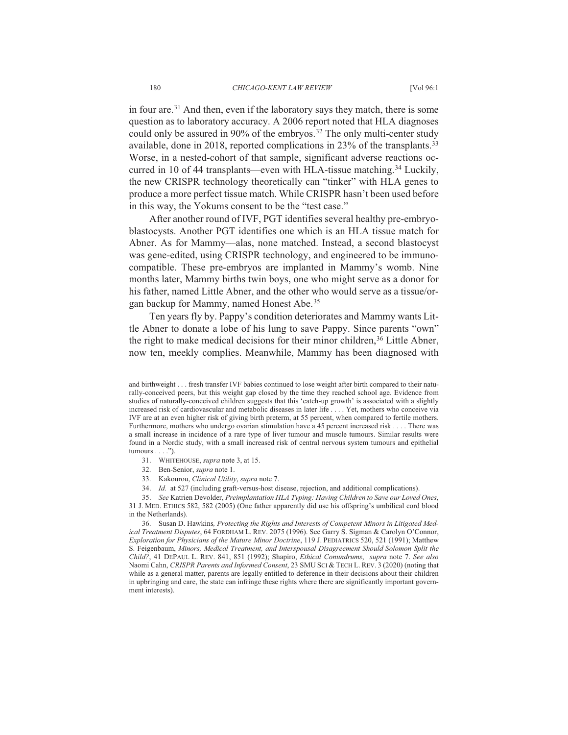in four are.<sup>31</sup> And then, even if the laboratory says they match, there is some question as to laboratory accuracy. A 2006 report noted that HLA diagnoses could only be assured in 90% of the embryos.<sup>32</sup> The only multi-center study available, done in 2018, reported complications in  $23\%$  of the transplants.<sup>33</sup> Worse, in a nested-cohort of that sample, significant adverse reactions occurred in 10 of 44 transplants—even with HLA-tissue matching.<sup>34</sup> Luckily, the new CRISPR technology theoretically can "tinker" with HLA genes to produce a more perfect tissue match. While CRISPR hasn't been used before in this way, the Yokums consent to be the "test case."

After another round of IVF, PGT identifies several healthy pre-embryoblastocysts. Another PGT identifies one which is an HLA tissue match for Abner. As for Mammy—alas, none matched. Instead, a second blastocyst was gene-edited, using CRISPR technology, and engineered to be immunocompatible. These pre-embryos are implanted in Mammy's womb. Nine months later, Mammy births twin boys, one who might serve as a donor for his father, named Little Abner, and the other who would serve as a tissue/organ backup for Mammy, named Honest Abe.<sup>35</sup>

Ten years fly by. Pappy's condition deteriorates and Mammy wants Little Abner to donate a lobe of his lung to save Pappy. Since parents "own" the right to make medical decisions for their minor children,<sup>36</sup> Little Abner, now ten, meekly complies. Meanwhile, Mammy has been diagnosed with

31. WHITEHOUSE, *supra* note 3, at 15.

32. Ben-Senior, *supra* note 1.

33. Kakourou, Clinical Utility, supra note 7.

34. *Id.* at 527 (including graft-versus-host disease, rejection, and additional complications).

35. See Katrien Devolder, *Preimplantation HLA Typing: Having Children to Save our Loved Ones*, 31 J. MED. ETHICS 582, 582 (2005) (One father apparently did use his offspring's umbilical cord blood in the Netherlands).

36. Susan D. Hawkins, Protecting the Rights and Interests of Competent Minors in Litigated Med*ical Treatment Disputes*, 64 FORDHAM L. REV. 2075 (1996). See Garry S. Sigman & Carolyn O'Connor, *Exploration for Physicians of the Mature Minor Doctrine*, 119 J. PEDIATRICS 520, 521 (1991); Matthew 6) S. Feigenbaum, Minors, Medical Treatment, and Interspousal Disagreement Should Solomon Split the *Child?*, 41 DEPAUL L. REV. 841, 851 (1992); Shapiro, Ethical Conundrums, supra note 7. See also Naomi Cahn, CRISPR Parents and Informed Consent, 23 SMU SCI & TECH L. REV. 3 (2020) (noting that while as a general matter, parents are legally entitled to deference in their decisions about their children in upbringing and care, the state can infringe these rights where there are significantly important government interests).

and birthweight . . . fresh transfer IVF babies continued to lose weight after birth compared to their naturally-conceived peers, but this weight gap closed by the time they reached school age. Evidence from studies of naturally-conceived children suggests that this 'catch-up growth' is associated with a slightly increased risk of cardiovascular and metabolic diseases in later life . . . . Yet, mothers who conceive via IVF are at an even higher risk of giving birth preterm, at 55 percent, when compared to fertile mothers. Furthermore, mothers who undergo ovarian stimulation have a 45 percent increased risk . . . . There was a small increase in incidence of a rare type of liver tumour and muscle tumours. Similar results were found in a Nordic study, with a small increased risk of central nervous system tumours and epithelial tumours  $\dots$ .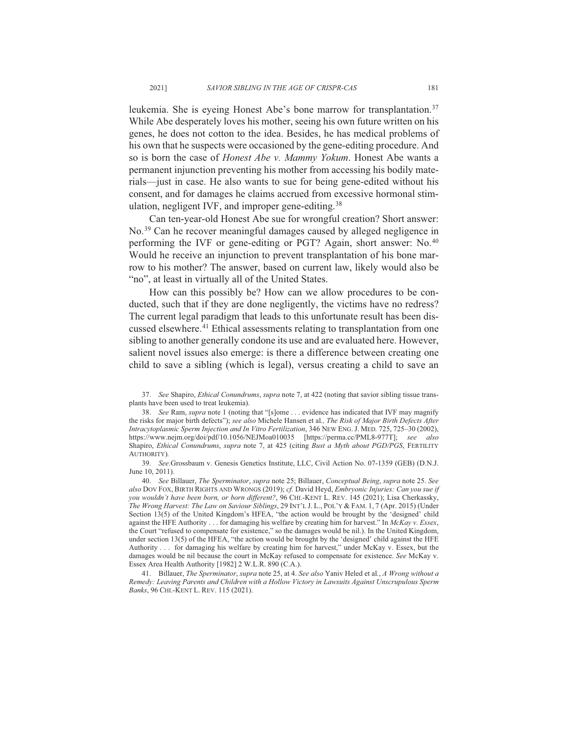leukemia. She is eyeing Honest Abe's bone marrow for transplantation.<sup>37</sup> While Abe desperately loves his mother, seeing his own future written on his genes, he does not cotton to the idea. Besides, he has medical problems of his own that he suspects were occasioned by the gene-editing procedure. And so is born the case of *Honest Abe v. Mammy Yokum*. Honest Abe wants a permanent injunction preventing his mother from accessing his bodily materials—just in case. He also wants to sue for being gene-edited without his consent, and for damages he claims accrued from excessive hormonal stimulation, negligent IVF, and improper gene-editing.<sup>38</sup>

Can ten-year-old Honest Abe sue for wrongful creation? Short answer: No.<sup>39</sup> Can he recover meaningful damages caused by alleged negligence in performing the IVF or gene-editing or PGT? Again, short answer: No.<sup>40</sup> Would he receive an injunction to prevent transplantation of his bone marrow to his mother? The answer, based on current law, likely would also be "no", at least in virtually all of the United States.

How can this possibly be? How can we allow procedures to be conducted, such that if they are done negligently, the victims have no redress? The current legal paradigm that leads to this unfortunate result has been discussed elsewhere.<sup>41</sup> Ethical assessments relating to transplantation from one sibling to another generally condone its use and are evaluated here. However, salient novel issues also emerge: is there a difference between creating one child to save a sibling (which is legal), versus creating a child to save an

37. See Shapiro, *Ethical Conundrums*, *supra* note 7, at 422 (noting that savior sibling tissue transplants have been used to treat leukemia).

39. See.Grossbaum v. Genesis Genetics Institute, LLC, Civil Action No. 07-1359 (GEB) (D.N.J. June 10, 2011).

*AO.* See Billauer, The Sperminator, supra note 25; Billauer, Conceptual Being, supra note 25. See also DOV FOX, BIRTH RIGHTS AND WRONGS (2019); cf. David Heyd, *Embryonic Injuries: Can you sue if you wouldn't have been born, or born different?*, 96 CHI.-KENT L. REV. 145 (2021); Lisa Cherkassky, The Wrong Harvest: The Law on Saviour Siblings, 29 INT'L J. L., POL'Y & FAM. 1, 7 (Apr. 2015) (Under Section  $13(5)$  of the United Kingdom's HFEA, "the action would be brought by the 'designed' child against the HFE Authority  $\ldots$  for damaging his welfare by creating him for harvest." In McKay v. Essex, the Court "refused to compensate for existence," so the damages would be nil.). In the United Kingdom, under section  $13(5)$  of the HFEA, "the action would be brought by the 'designed' child against the HFE Authority . . . for damaging his welfare by creating him for harvest," under McKay v. Essex, but the damages would be nil because the court in McKay refused to compensate for existence. See McKay v. Essex Area Health Authority [1982] 2 W.L.R. 890 (C.A.).

41. Billauer, *The Sperminator*, *supra* note 25, at 4. See also Yaniv Heled et al., A Wrong without a *Remedy: Leaving Parents and Children with a Hollow Victory in Lawsuits Against Unscrupulous Sperm Banks*, 96 CHI.-KENT L. REV. 115 (2021).

<sup>38.</sup> See Ram, supra note 1 (noting that "[s]ome ... evidence has indicated that IVF may magnify the risks for major birth defects"); see also Michele Hansen et al., The Risk of Major Birth Defects After *Intracytoplasmic Sperm Injection and In Vitro Fertilization*, 346 New ENG. J. MED. 725, 725-30 (2002), https://www.nejm.org/doi/pdf/10.1056/NEJMoa010035 [https://perma.cc/PML8-977T]; see also Shapiro, *Ethical Conundrums*, *supra* note 7, at 425 (citing *Bust a Myth about PGD/PGS*, FERTILITY  $A$ ITHORITY)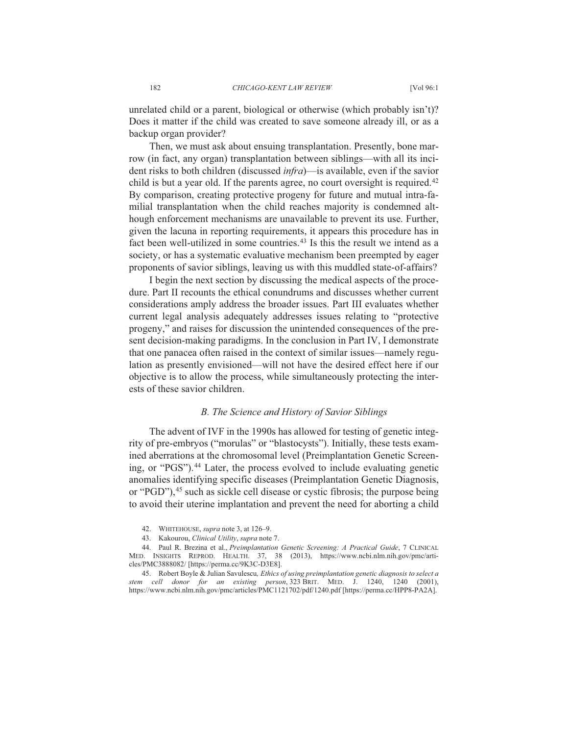unrelated child or a parent, biological or otherwise (which probably isn't)? Does it matter if the child was created to save someone already ill, or as a backup organ provider?

Then, we must ask about ensuing transplantation. Presently, bone marrow (in fact, any organ) transplantation between siblings—with all its incident risks to both children (discussed *infra*)—is available, even if the savior child is but a year old. If the parents agree, no court oversight is required.<sup>42</sup> By comparison, creating protective progeny for future and mutual intra-familial transplantation when the child reaches majority is condemned although enforcement mechanisms are unavailable to prevent its use. Further, given the lacuna in reporting requirements, it appears this procedure has in fact been well-utilized in some countries.<sup>43</sup> Is this the result we intend as a society, or has a systematic evaluative mechanism been preempted by eager proponents of savior siblings, leaving us with this muddled state-of-affairs?

I begin the next section by discussing the medical aspects of the procedure. Part II recounts the ethical conundrums and discusses whether current considerations amply address the broader issues. Part III evaluates whether current legal analysis adequately addresses issues relating to "protective" progeny," and raises for discussion the unintended consequences of the present decision-making paradigms. In the conclusion in Part IV, I demonstrate that one panacea often raised in the context of similar issues—namely regulation as presently envisioned—will not have the desired effect here if our objective is to allow the process, while simultaneously protecting the interests of these savior children.

#### B. The Science and History of Savior Siblings

The advent of IVF in the 1990s has allowed for testing of genetic integrity of pre-embryos ("morulas" or "blastocysts"). Initially, these tests examined aberrations at the chromosomal level (Preimplantation Genetic Screening, or "PGS").<sup>44</sup> Later, the process evolved to include evaluating genetic anomalies identifying specific diseases (Preimplantation Genetic Diagnosis, or "PGD"), <sup>45</sup> such as sickle cell disease or cystic fibrosis; the purpose being to avoid their uterine implantation and prevent the need for aborting a child

45. Robert Boyle & Julian Savulescu, Ethics of using preimplantation genetic diagnosis to select a stem cell donor for an existing person, 323 BRIT. MED. J. 1240, 1240 (2001), https://www.ncbi.nlm.nih.gov/pmc/articles/PMC1121702/pdf/1240.pdf [https://perma.cc/HPP8-PA2A].

182

<sup>42.</sup> WHITEHOUSE, *supra* note 3, at 126–9.

<sup>43.</sup> Kakourou, Clinical Utility, supra note 7.

<sup>44.</sup> Paul R. Brezina et al., Preimplantation Genetic Screening: A Practical Guide, 7 CLINICAL MED. INSIGHTS REPROD. HEALTH. 37, 38 (2013), https://www.ncbi.nlm.nih.gov/pmc/articles/PMC3888082/ [https://perma.cc/9K3C-D3E8].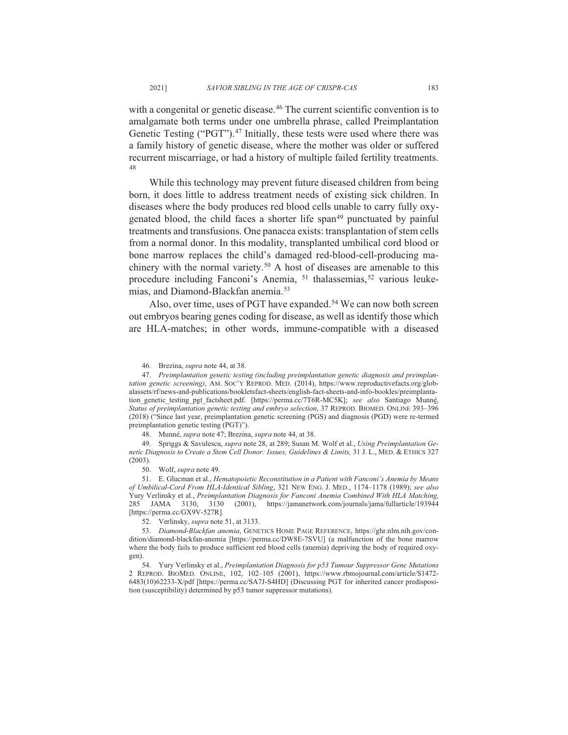with a congenital or genetic disease.<sup>46</sup> The current scientific convention is to amalgamate both terms under one umbrella phrase, called Preimplantation Genetic Testing ("PGT").<sup>47</sup> Initially, these tests were used where there was a family history of genetic disease, where the mother was older or suffered recurrent miscarriage, or had a history of multiple failed fertility treatments. 48

While this technology may prevent future diseased children from being born, it does little to address treatment needs of existing sick children. In diseases where the body produces red blood cells unable to carry fully oxygenated blood, the child faces a shorter life span<sup>49</sup> punctuated by painful treatments and transfusions. One panacea exists: transplantation of stem cells from a normal donor. In this modality, transplanted umbilical cord blood or bone marrow replaces the child's damaged red-blood-cell-producing machinery with the normal variety.<sup>50</sup> A host of diseases are amenable to this procedure including Fanconi's Anemia, <sup>51</sup> thalassemias,<sup>52</sup> various leukemias, and Diamond-Blackfan anemia.<sup>53</sup>

Also, over time, uses of PGT have expanded.<sup>54</sup> We can now both screen out embryos bearing genes coding for disease, as well as identify those which are HLA-matches; in other words, immune-compatible with a diseased

48. Munné, *supra* note 47; Brezina, *supra* note 44, at 38.

49. Spriggs & Savulescu, *supra* note 28, at 289; Susan M. Wolf et al., *Using Preimplantation Genetic Diagnosis to Create a Stem Cell Donor: Issues, Guidelines & Limits, 31 J. L., MED. & ETHICS 327*  $(2003)$ .

50. Wolf, *supra* note 49.

51. E. Glucman et al., *Hematopoietic Reconstitution in a Patient with Fanconi's Anemia by Means* of Umbilical-Cord From HLA-Identical Sibling, 321 NEW ENG. J. MED., 1174–1178 (1989); see also Yury Verlinsky et al., *Preimplantation Diagnosis for Fanconi Anemia Combined With HLA Matching,*<br>285 JAMA 3130, 3130 (2001), https://jamanetwork.com/journals/jama/fullarticle/193944 285 JAMA 3130, 3130 (2001), https://jamanetwork.com/journals/jama/fullarticle/193944 [https://perma.cc/GX9V-527R].

52. Verlinsky, *supra* note 51, at 3133.

53. *Diamond-Blackfan anemia*, GENETICS HOME PAGE REFERENCE, https://ghr.nlm.nih.gov/condition/diamond-blackfan-anemia [https://perma.cc/DW8E-7SVU] (a malfunction of the bone marrow where the body fails to produce sufficient red blood cells (anemia) depriving the body of required oxygen).

54. Yury Verlinsky et al., Preimplantation Diagnosis for p53 Tumour Suppressor Gene Mutations 2 REPROD. BIOMED. ONLINE, 102, 102-105 (2001), https://www.rbmojournal.com/article/S1472-6483(10)62233-X/pdf [https://perma.cc/SA7J-S4HD] (Discussing PGT for inherited cancer predisposition (susceptibility) determined by p53 tumor suppressor mutations).

<sup>46.</sup> Brezina, *supra* note 44, at 38.

*Preimplantation genetic testing (including preimplantation genetic diagnosis and preimplantation genetic screening*), AM. SOC'Y REPROD. MED. (2014), https://www.reproductivefacts.org/globalassets/rf/news-and-publications/bookletsfact-sheets/english-fact-sheets-and-info-bookles/preimplantation\_genetic\_testing\_pgt\_factsheet.pdf. [https://perma.cc/7T6R-MC5K]; see also Santiago Munné, Status of preimplantation genetic testing and embryo selection, 37 REPROD. BIOMED. ONLINE 393-396 (2018) ("Since last year, preimplantation genetic screening (PGS) and diagnosis (PGD) were re-termed preimplantation genetic testing (PGT)").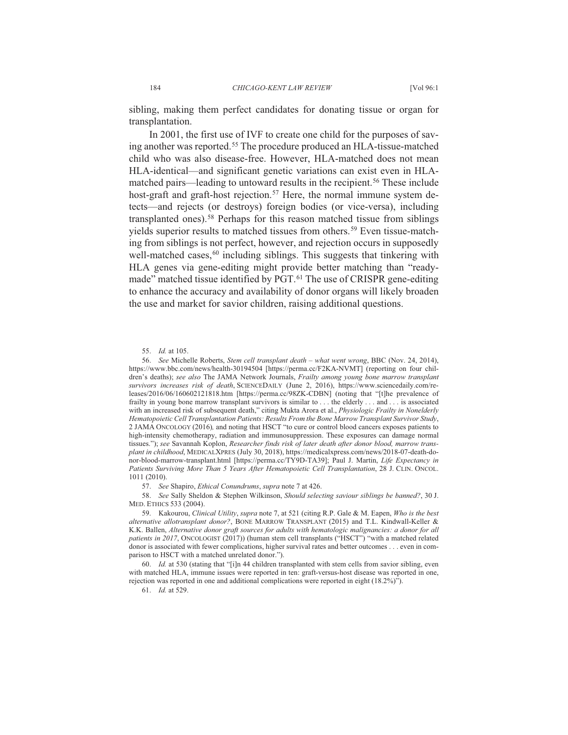sibling, making them perfect candidates for donating tissue or organ for transplantation.

In 2001, the first use of IVF to create one child for the purposes of saying another was reported.<sup>55</sup> The procedure produced an HLA-tissue-matched child who was also disease-free. However, HLA-matched does not mean HLA-identical—and significant genetic variations can exist even in HLAmatched pairs—leading to untoward results in the recipient.<sup>56</sup> These include host-graft and graft-host rejection.<sup>57</sup> Here, the normal immune system detects—and rejects (or destroys) foreign bodies (or vice-versa), including transplanted ones).<sup>58</sup> Perhaps for this reason matched tissue from siblings yields superior results to matched tissues from others.<sup>59</sup> Even tissue-matching from siblings is not perfect, however, and rejection occurs in supposedly well-matched cases,<sup>60</sup> including siblings. This suggests that tinkering with HLA genes via gene-editing might provide better matching than "readymade" matched tissue identified by PGT.<sup>61</sup> The use of CRISPR gene-editing to enhance the accuracy and availability of donor organs will likely broaden the use and market for savior children, raising additional questions.

55 *Id.* at 105

56. See Michelle Roberts, Stem cell transplant death – what went wrong, BBC (Nov. 24, 2014), https://www.bbc.com/news/health-30194504 [https://perma.cc/F2KA-NVMT] (reporting on four children's deaths); see also The JAMA Network Journals, Frailty among young bone marrow transplant survivors increases risk of death. SCIENCEDAILY (June 2, 2016), https://www.sciencedaily.com/releases/2016/06/160602121818.htm [https://perma.cc/98ZK-CDBN] (noting that "[t]he prevalence of frailty in young bone marrow transplant survivors is similar to  $\dots$  the elderly  $\dots$  and  $\dots$  is associated with an increased risk of subsequent death," citing Mukta Arora et al., Physiologic Frailty in Nonelderly *Hematopoietic Cell Transplantation Patients: Results From the Bone Marrow Transplant Survivor Study* 2 JAMA ONCOLOGY (2016), and noting that HSCT "to cure or control blood cancers exposes patients to high-intensity chemotherapy, radiation and immunosuppression. These exposures can damage normal tissues."); see Savannah Koplon, Researcher finds risk of later death after donor blood, marrow transplant in childhood, MEDICALXPRES (July 30, 2018), https://medicalxpress.com/news/2018-07-death-donor-blood-marrow-transplant.html [https://perma.cc/TY9D-TA39]; Paul J. Martin, Life Expectancy in Patients Surviving More Than 5 Years After Hematopoietic Cell Transplantation, 28 J. CLIN. ONCOL. 1011 (2010).

57. See Shapiro, *Ethical Conundrums*, *supra* note 7 at 426.

58. See Sally Sheldon & Stephen Wilkinson, Should selecting saviour siblings be banned?, 30 J. MED. ETHICS 533 (2004).

59. Kakourou, Clinical Utility, supra note 7, at 521 (citing R.P. Gale & M. Eapen, Who is the best alternative allotransplant donor?, BONE MARROW TRANSPLANT (2015) and T.L. Kindwall-Keller & K.K. Ballen, Alternative donor graft sources for adults with hematologic malignancies: a donor for all *patients in 2017*, ONCOLOGIST (2017)) (human stem cell transplants ("HSCT") "with a matched related donor is associated with fewer complications, higher survival rates and better outcomes . . . even in comparison to HSCT with a matched unrelated donor.").

60. *Id.* at 530 (stating that "[i]n 44 children transplanted with stem cells from savior sibling, even with matched HLA, immune issues were reported in ten: graft-versus-host disease was reported in one, rejection was reported in one and additional complications were reported in eight  $(18.2\%)$ <sup>3</sup>).

61 *Id.* at 529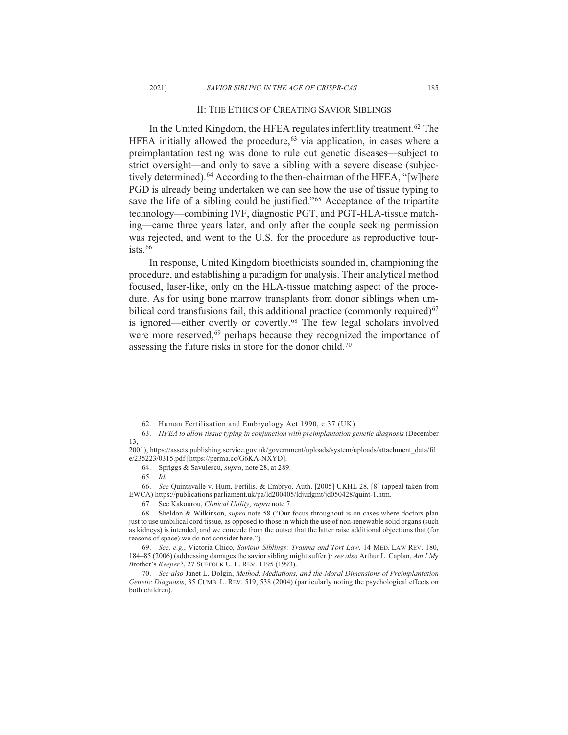#### II: THE ETHICS OF CREATING SAVIOR SIBLINGS

In the United Kingdom, the HFEA regulates infertility treatment.<sup>62</sup> The HFEA initially allowed the procedure,  $63$  via application, in cases where a preimplantation testing was done to rule out genetic diseases—subject to strict oversight—and only to save a sibling with a severe disease (subjectively determined).<sup>64</sup> According to the then-chairman of the HFEA, "[w]here PGD is already being undertaken we can see how the use of tissue typing to save the life of a sibling could be justified."<sup>65</sup> Acceptance of the tripartite technology—combining IVF, diagnostic PGT, and PGT-HLA-tissue matching—came three years later, and only after the couple seeking permission was rejected, and went to the U.S. for the procedure as reproductive tour $i$ sts.  $66$ 

In response, United Kingdom bioethicists sounded in, championing the procedure, and establishing a paradigm for analysis. Their analytical method focused, laser-like, only on the HLA-tissue matching aspect of the procedure. As for using bone marrow transplants from donor siblings when umbilical cord transfusions fail, this additional practice (commonly required)<sup>67</sup> is ignored—either overtly or covertly.<sup>68</sup> The few legal scholars involved were more reserved,<sup>69</sup> perhaps because they recognized the importance of assessing the future risks in store for the donor child.<sup>70</sup>

2001), https://assets.publishing.service.gov.uk/government/uploads/system/uploads/attachment data/fil e/235223/0315.pdf [https://perma.cc/G6KA-NXYD].

64. Spriggs & Savulescu, *supra*, note 28, at 289.

66. See Quintavalle v. Hum. Fertilis. & Embryo. Auth. [2005] UKHL 28, [8] (appeal taken from EWCA) https://publications.parliament.uk/pa/ld200405/ldjudgmt/jd050428/quint-1.htm.

67. See Kakourou, Clinical Utility, supra note 7.

68. Sheldon & Wilkinson, *supra* note 58 ("Our focus throughout is on cases where doctors plan just to use umbilical cord tissue, as opposed to those in which the use of non-renewable solid organs (such as kidneys) is intended, and we concede from the outset that the latter raise additional objections that (for reasons of space) we do not consider here.").

*See, e.g., Victoria Chico, Saviour Siblings: Trauma and Tort Law, 14 MED. LAW REV. 180,* 184–85 (2006) (addressing damages the savior sibling might suffer.); see also Arthur L. Caplan, Am I My *Brother's Keeper?, 27 SUFFOLK U. L. REV. 1195 (1993).* 

70. See also Janet L. Dolgin, Method, Mediations, and the Moral Dimensions of Preimplantation Genetic Diagnosis, 35 CUMB. L. REV. 519, 538 (2004) (particularly noting the psychological effects on both children).

<sup>62.</sup> Human Fertilisation and Embryology Act 1990, c.37 (UK).

<sup>63.</sup> HFEA to allow tissue typing in conjunction with preimplantation genetic diagnosis (December  $13.$ 

*Id.*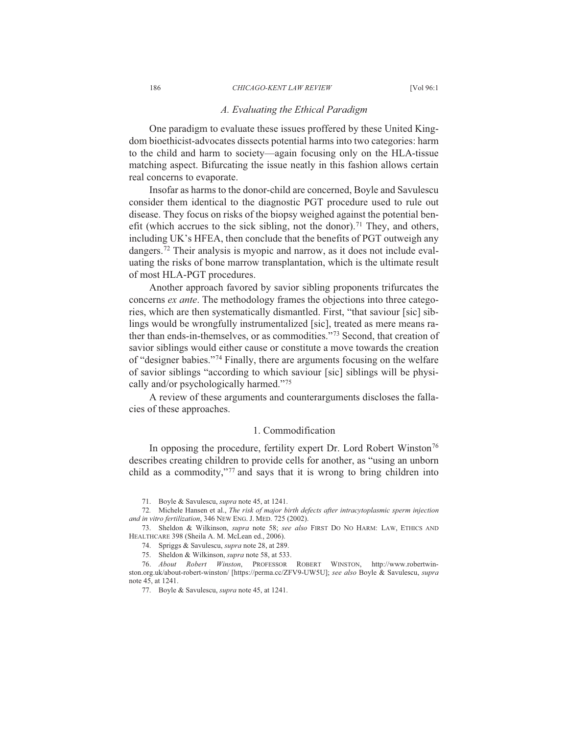#### *A. Evaluating the Ethical Paradigm*

One paradigm to evaluate these issues proffered by these United Kingdom bioethicist-advocates dissects potential harms into two categories: harm to the child and harm to society—again focusing only on the HLA-tissue matching aspect. Bifurcating the issue neatly in this fashion allows certain real concerns to evaporate.

Insofar as harms to the donor-child are concerned, Boyle and Savulescu consider them identical to the diagnostic PGT procedure used to rule out disease. They focus on risks of the biopsy weighed against the potential benefit (which accrues to the sick sibling, not the donor).<sup>71</sup> They, and others, including UK's HFEA, then conclude that the benefits of PGT outweigh any dangers.<sup>72</sup> Their analysis is myopic and narrow, as it does not include evaluating the risks of bone marrow transplantation, which is the ultimate result of most HLA-PGT procedures.

Another approach favored by savior sibling proponents trifurcates the concerns *ex ante*. The methodology frames the objections into three categories, which are then systematically dismantled. First, "that saviour [sic] siblings would be wrongfully instrumentalized [sic], treated as mere means rather than ends-in-themselves, or as commodities."<sup>73</sup> Second, that creation of savior siblings would either cause or constitute a move towards the creation of "designer babies."<sup>74</sup> Finally, there are arguments focusing on the welfare of savior siblings "according to which saviour [sic] siblings will be physically and/or psychologically harmed." $75$ 

A review of these arguments and counterarguments discloses the fallacies of these approaches.

#### 1. Commodification

In opposing the procedure, fertility expert Dr. Lord Robert Winston<sup>76</sup> describes creating children to provide cells for another, as "using an unborn child as a commodity,"<sup>77</sup> and says that it is wrong to bring children into

71. Boyle & Savulescu, *supra* note 45, at 1241.

72. Michele Hansen et al., The risk of major birth defects after intracytoplasmic sperm injection *and in vitro fertilization*, 346 NEW ENG. J. MED. 725 (2002).

73. Sheldon & Wilkinson, *supra* note 58; see also FIRST DO NO HARM: LAW, ETHICS AND HEALTHCARE 398 (Sheila A. M. McLean ed., 2006).

74. Spriggs & Savulescu, *supra* note 28, at 289.

75. Sheldon & Wilkinson, *supra* note 58, at 533.

76. About Robert Winston. PROFESSOR ROBERT WINSTON. http://www.robertwinston.org.uk/about-robert-winston/ [https://perma.cc/ZFV9-UW5U]; see also Boyle & Savulescu, supra note 45, at 1241.

77. Boyle & Savulescu, *supra* note 45, at 1241.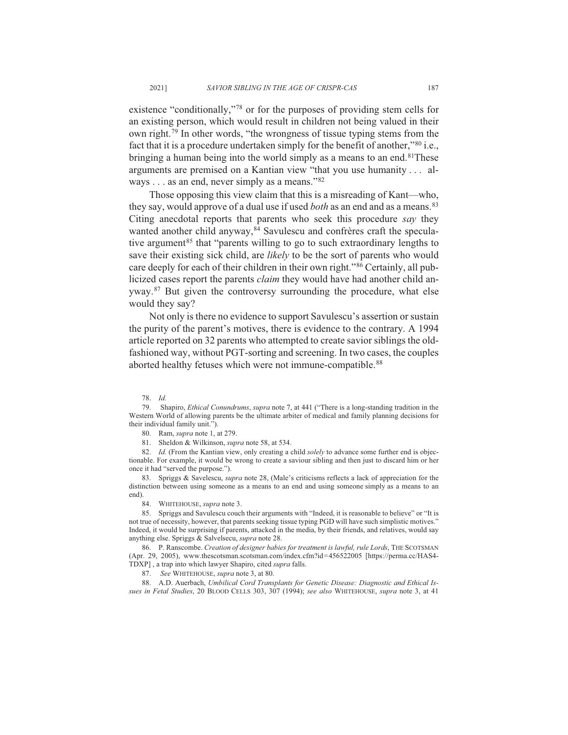existence "conditionally,"<sup>78</sup> or for the purposes of providing stem cells for an existing person, which would result in children not being valued in their own right.<sup>79</sup> In other words, "the wrongness of tissue typing stems from the fact that it is a procedure undertaken simply for the benefit of another," $80$  i.e., bringing a human being into the world simply as a means to an end.<sup>81</sup>These arguments are premised on a Kantian view "that you use humanity  $\dots$  always . . . as an end, never simply as a means." $82$ 

Those opposing this view claim that this is a misreading of Kant—who, they say, would approve of a dual use if used *both* as an end and as a means.<sup>83</sup> Citing anecdotal reports that parents who seek this procedure say they wanted another child anyway,<sup>84</sup> Savulescu and confrères craft the speculative argument<sup>85</sup> that "parents willing to go to such extraordinary lengths to save their existing sick child, are *likely* to be the sort of parents who would care deeply for each of their children in their own right."<sup>86</sup> Certainly, all publicized cases report the parents *claim* they would have had another child anyway.<sup>87</sup> But given the controversy surrounding the procedure, what else would they say?

Not only is there no evidence to support Savulescu's assertion or sustain the purity of the parent's motives, there is evidence to the contrary. A 1994 article reported on 32 parents who attempted to create savior siblings the oldfashioned way, without PGT-sorting and screening. In two cases, the couples aborted healthy fetuses which were not immune-compatible.<sup>88</sup>

79. Shapiro, *Ethical Conundrums*, *supra* note 7, at 441 ("There is a long-standing tradition in the Western World of allowing parents be the ultimate arbiter of medical and family planning decisions for their individual family unit.").

80. Ram, *supra* note 1, at 279.

81. Sheldon & Wilkinson, *supra* note 58, at 534.

82. *Id.* (From the Kantian view, only creating a child solely to advance some further end is objectionable. For example, it would be wrong to create a saviour sibling and then just to discard him or her once it had "served the purpose.").

83. Spriggs & Savelescu, *supra* note 28, (Male's criticisms reflects a lack of appreciation for the distinction between using someone as a means to an end and using someone simply as a means to an end).

84. WHITEHOUSE, supra note 3.

85. Spriggs and Savulescu couch their arguments with "Indeed, it is reasonable to believe" or "It is not true of necessity, however, that parents seeking tissue typing PGD will have such simplistic motives." Indeed, it would be surprising if parents, attacked in the media, by their friends, and relatives, would say anything else. Spriggs & Salvelsecu, supra note 28.

36. P. Ranscombe. Creation of designer babies for treatment is lawful, rule Lords, THE SCOTSMAN (Apr. 29, 2005), www.thescotsman.scotsman.com/index.cfm?id=456522005 [https://perma.cc/HAS4-TDXP], a trap into which lawyer Shapiro, cited *supra* falls.

87. See WHITEHOUSE, *supra* note 3, at 80.

88. A.D. Auerbach, Umbilical Cord Transplants for Genetic Disease: Diagnostic and Ethical Issues in Fetal Studies, 20 BLOOD CELLS 303, 307 (1994); see also WHITEHOUSE, supra note 3, at 41

*Id.*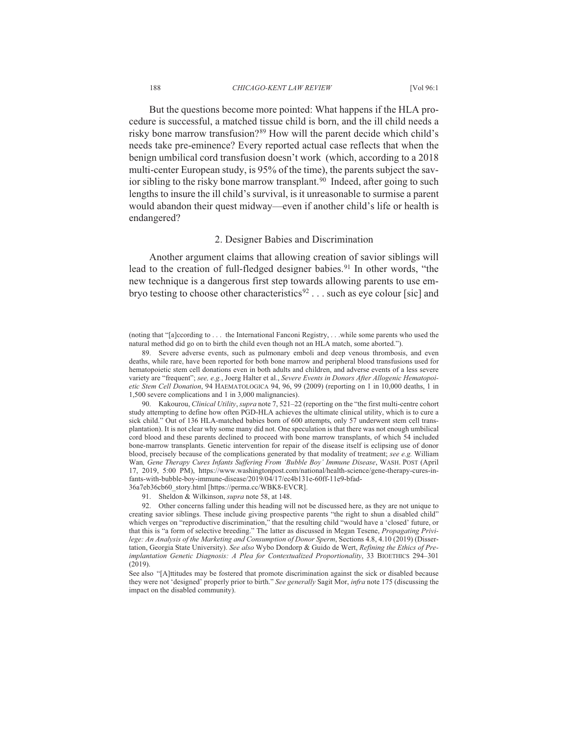But the questions become more pointed: What happens if the HLA procedure is successful, a matched tissue child is born, and the ill child needs a risky bone marrow transfusion?<sup>89</sup> How will the parent decide which child's needs take pre-eminence? Every reported actual case reflects that when the benign umbilical cord transfusion doesn't work (which, according to a 2018) multi-center European study, is 95% of the time), the parents subject the savior sibling to the risky bone marrow transplant.<sup>90</sup> Indeed, after going to such lengths to insure the ill child's survival, is it unreasonable to surmise a parent would abandon their quest midway—even if another child's life or health is endangered?

#### 2. Designer Babies and Discrimination

Another argument claims that allowing creation of savior siblings will lead to the creation of full-fledged designer babies.<sup>91</sup> In other words, "the new technique is a dangerous first step towards allowing parents to use embryo testing to choose other characteristics<sup>92</sup> . . . such as eye colour [sic] and

90. Kakourou, Clinical Utility, supra note 7, 521-22 (reporting on the "the first multi-centre cohort study attempting to define how often PGD-HLA achieves the ultimate clinical utility, which is to cure a sick child." Out of 136 HLA-matched babies born of 600 attempts, only 57 underwent stem cell transplantation). It is not clear why some many did not. One speculation is that there was not enough umbilical cord blood and these parents declined to proceed with bone marrow transplants, of which 54 included bone-marrow transplants. Genetic intervention for repair of the disease itself is eclipsing use of donor blood, precisely because of the complications generated by that modality of treatment; see e.g. William Wan, Gene Therapy Cures Infants Suffering From 'Bubble Boy' Immune Disease, WASH. POST (April 17, 2019, 5:00 PM), https://www.washingtonpost.com/national/health-science/gene-therapy-cures-infants-with-bubble-boy-immune-disease/2019/04/17/ec4b131e-60ff-11e9-bfad-36a7eb36cb60 story.html [https://perma.cc/WBK8-EVCR].

91. Sheldon & Wilkinson, *supra* note 58, at 148.

92. Other concerns falling under this heading will not be discussed here, as they are not unique to creating savior siblings. These include giving prospective parents "the right to shun a disabled child" which verges on "reproductive discrimination," that the resulting child "would have a 'closed' future, or that this is "a form of selective breeding." The latter as discussed in Megan Tesene, Propagating Privilege: An Analysis of the Marketing and Consumption of Donor Sperm, Sections 4.8, 4.10 (2019) (Dissertation, Georgia State University). See also Wybo Dondorp & Guido de Wert, Refining the Ethics of Preimplantation Genetic Diagnosis: A Plea for Contextualized Proportionality, 33 BIOETHICS 294-301  $(2019).$ 

See also "[A]ttitudes may be fostered that promote discrimination against the sick or disabled because they were not 'designed' properly prior to birth." See generally Sagit Mor, infra note 175 (discussing the impact on the disabled community).

188

<sup>(</sup>noting that "[a]ccording to . . . the International Fanconi Registry, . . . while some parents who used the natural method did go on to birth the child even though not an HLA match, some aborted.").

<sup>89.</sup> Severe adverse events, such as pulmonary emboli and deep venous thrombosis, and even deaths, while rare, have been reported for both bone marrow and peripheral blood transfusions used for hematopoietic stem cell donations even in both adults and children, and adverse events of a less severe variety are "frequent"; see, e.g., Joerg Halter et al., Severe Events in Donors After Allogenic Hematopoietic Stem Cell Donation, 94 HAEMATOLOGICA 94, 96, 99 (2009) (reporting on 1 in 10,000 deaths, 1 in 1,500 severe complications and 1 in 3,000 malignancies).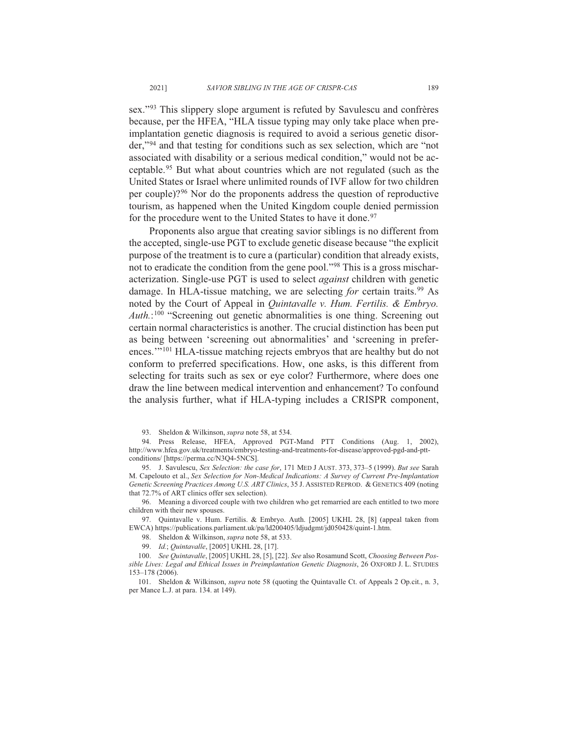sex."<sup>93</sup> This slippery slope argument is refuted by Savulescu and confrères because, per the HFEA, "HLA tissue typing may only take place when preimplantation genetic diagnosis is required to avoid a serious genetic disorder,"94 and that testing for conditions such as sex selection, which are "not associated with disability or a serious medical condition," would not be acceptable.<sup>95</sup> But what about countries which are not regulated (such as the United States or Israel where unlimited rounds of IVF allow for two children per couple)?<sup>96</sup> Nor do the proponents address the question of reproductive tourism, as happened when the United Kingdom couple denied permission for the procedure went to the United States to have it done.<sup>97</sup>

Proponents also argue that creating savior siblings is no different from the accepted, single-use PGT to exclude genetic disease because "the explicit" purpose of the treatment is to cure a (particular) condition that already exists, not to eradicate the condition from the gene pool."<sup>98</sup> This is a gross mischaracterization. Single-use PGT is used to select *against* children with genetic damage. In HLA-tissue matching, we are selecting for certain traits.<sup>99</sup> As noted by the Court of Appeal in *Ouintavalle v. Hum. Fertilis. & Embryo.*  $\text{Aut}h$ .<sup>100</sup> "Screening out genetic abnormalities is one thing. Screening out certain normal characteristics is another. The crucial distinction has been put as being between 'screening out abnormalities' and 'screening in preferences."<sup>101</sup> HLA-tissue matching rejects embryos that are healthy but do not conform to preferred specifications. How, one asks, is this different from selecting for traits such as sex or eye color? Furthermore, where does one draw the line between medical intervention and enhancement? To confound the analysis further, what if HLA-typing includes a CRISPR component,

93. Sheldon & Wilkinson, *supra* note 58, at 534.

94. Press Release, HFEA, Approved PGT-Mand PTT Conditions (Aug. 1, 2002), http://www.hfea.gov.uk/treatments/embryo-testing-and-treatments-for-disease/approved-pgd-and-pttconditions/ [https://perma.cc/N3Q4-5NCS].

95. J. Savulescu, Sex Selection: the case for, 171 MED J AUST. 373, 373-5 (1999). But see Sarah M. Capelouto et al., Sex Selection for Non-Medical Indications: A Survey of Current Pre-Implantation Genetic Screening Practices Among U.S. ART Clinics, 35 J. ASSISTED REPROD. & GENETICS 409 (noting that 72.7% of ART clinics offer sex selection)

96. Meaning a divorced couple with two children who get remarried are each entitled to two more children with their new spouses.

97. Quintavalle v. Hum. Fertilis. & Embryo. Auth. [2005] UKHL 28, [8] (appeal taken from EWCA) https://publications.parliament.uk/pa/ld200405/ldjudgmt/jd050428/quint-1.htm.

98. Sheldon & Wilkinson, *supra* note 58, at 533.

99. Id.; Quintavalle, [2005] UKHL 28, [17].

100. See Quintavalle, [2005] UKHL 28, [5], [22]. See also Rosamund Scott, Choosing Between Possible Lives: Legal and Ethical Issues in Preimplantation Genetic Diagnosis, 26 OXFORD J. L. STUDIES 153-178 (2006).

101. Sheldon & Wilkinson, *supra* note 58 (quoting the Quintavalle Ct. of Appeals 2 Op.cit., n. 3, per Mance L.J. at para. 134. at 149).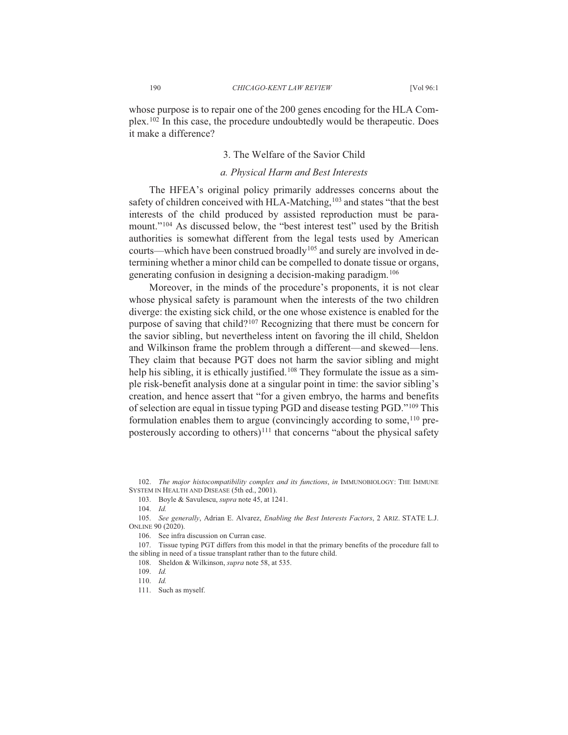whose purpose is to repair one of the 200 genes encoding for the HLA Complex.<sup>102</sup> In this case, the procedure undoubtedly would be therapeutic. Does it make a difference?

#### 3. The Welfare of the Savior Child

#### a. Physical Harm and Best Interests

The HFEA's original policy primarily addresses concerns about the safety of children conceived with HLA-Matching, 103 and states "that the best interests of the child produced by assisted reproduction must be paramount."<sup>104</sup> As discussed below, the "best interest test" used by the British authorities is somewhat different from the legal tests used by American courts—which have been construed broadly<sup>105</sup> and surely are involved in determining whether a minor child can be compelled to donate tissue or organs, generating confusion in designing a decision-making paradigm.<sup>106</sup>

Moreover, in the minds of the procedure's proponents, it is not clear whose physical safety is paramount when the interests of the two children diverge: the existing sick child, or the one whose existence is enabled for the purpose of saving that child?<sup>107</sup> Recognizing that there must be concern for the savior sibling, but nevertheless intent on favoring the ill child, Sheldon and Wilkinson frame the problem through a different—and skewed—lens. They claim that because PGT does not harm the savior sibling and might help his sibling, it is ethically justified.<sup>108</sup> They formulate the issue as a simple risk-benefit analysis done at a singular point in time; the savior sibling's creation, and hence assert that "for a given embryo, the harms and benefits" of selection are equal in tissue typing PGD and disease testing PGD."<sup>109</sup> This formulation enables them to argue (convincingly according to some, <sup>110</sup> preposterously according to others)<sup>111</sup> that concerns "about the physical safety

102. The major histocompatibility complex and its functions, in IMMUNOBIOLOGY: THE IMMUNE SYSTEM IN HEALTH AND DISEASE (5th ed., 2001).

103. Boyle & Savulescu, supra note 45, at 1241.

 $104$  Id

105. See generally, Adrian E. Alvarez, Enabling the Best Interests Factors, 2 ARIZ. STATE L.J. ONLINE 90 (2020).

106. See infra discussion on Curran case.

107. Tissue typing PGT differs from this model in that the primary benefits of the procedure fall to the sibling in need of a tissue transplant rather than to the future child.

108. Sheldon & Wilkinson, *supra* note 58, at 535.

 $109$  Id

<sup>110.</sup>  $Id.$ 

<sup>111.</sup> Such as myself.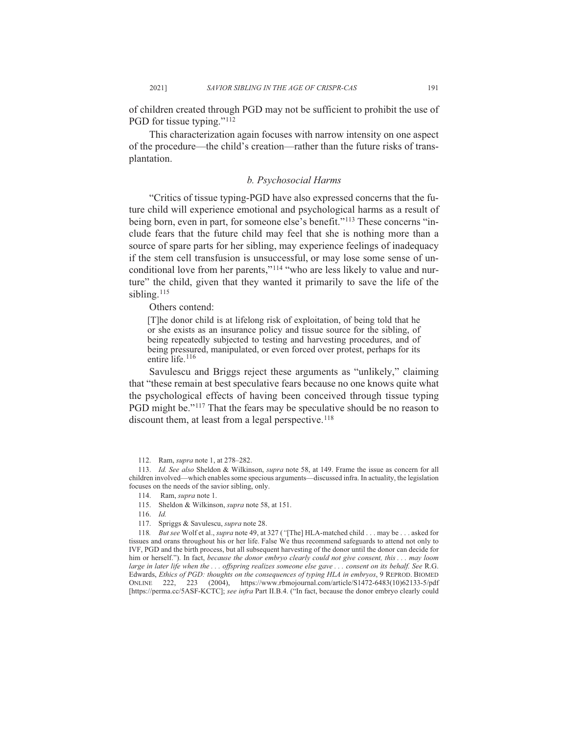of children created through PGD may not be sufficient to prohibit the use of PGD for tissue typing."<sup>112</sup>

This characterization again focuses with narrow intensity on one aspect of the procedure—the child's creation—rather than the future risks of transplantation.

#### b. Psychosocial Harms

"Critics of tissue typing-PGD have also expressed concerns that the future child will experience emotional and psychological harms as a result of being born, even in part, for someone else's benefit."<sup>113</sup> These concerns "include fears that the future child may feel that she is nothing more than a source of spare parts for her sibling, may experience feelings of inadequacy if the stem cell transfusion is unsuccessful, or may lose some sense of unconditional love from her parents,"<sup>114</sup> "who are less likely to value and nurture" the child, given that they wanted it primarily to save the life of the sibling.<sup>115</sup>

Others contend:

2021]

[T] he donor child is at lifelong risk of exploitation, of being told that he or she exists as an insurance policy and tissue source for the sibling, of being repeatedly subjected to testing and harvesting procedures, and of being pressured, manipulated, or even forced over protest, perhaps for its entire life.<sup>116</sup>

Savulescu and Briggs reject these arguments as "unlikely," claiming that "these remain at best speculative fears because no one knows quite what the psychological effects of having been conceived through tissue typing PGD might be."<sup>117</sup> That the fears may be speculative should be no reason to discount them, at least from a legal perspective.<sup>118</sup>

115. Sheldon & Wilkinson, *supra* note 58, at 151.

117. Spriggs & Savulescu, supra note 28.

118. But see Wolf et al., supra note 49, at 327 ("[The] HLA-matched child . . . may be . . . asked for tissues and orans throughout his or her life. False We thus recommend safeguards to attend not only to IVF, PGD and the birth process, but all subsequent harvesting of the donor until the donor can decide for him or herself."). In fact, because the donor embryo clearly could not give consent, this ... may loom large in later life when the ... offspring realizes someone else gave ... consent on its behalf. See R.G. Edwards, Ethics of PGD: thoughts on the consequences of typing HLA in embryos, 9 REPROD. BIOMED ONLINE 222, 223 (2004), https://www.rbmojournal.com/article/S1472-6483(10)62133-5/pdf [https://perma.cc/5ASF-KCTC]; see infra Part II.B.4. ("In fact, because the donor embryo clearly could

<sup>112.</sup> Ram, *supra* note 1, at 278-282.

<sup>113.</sup> Id. See also Sheldon & Wilkinson, supra note 58, at 149. Frame the issue as concern for all children involved—which enables some specious arguments—discussed infra. In actuality, the legislation focuses on the needs of the savior sibling, only.

<sup>114.</sup> Ram, *supra* note 1.

<sup>116.</sup>  $Id.$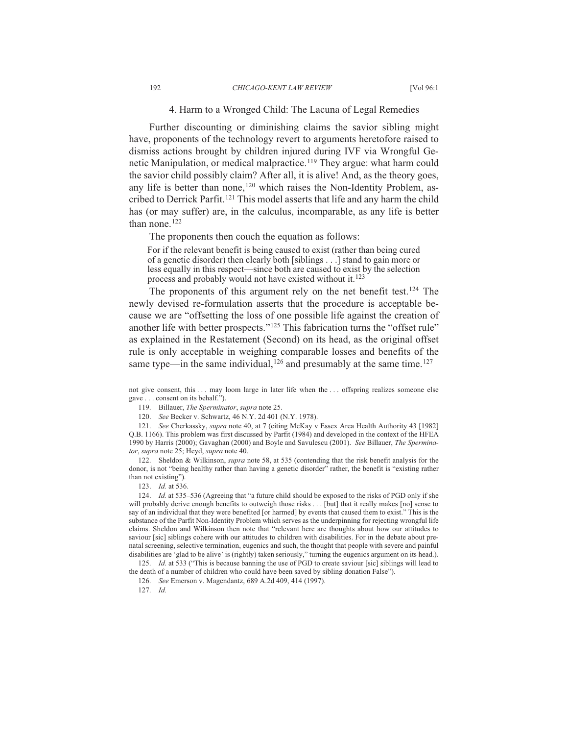#### 4. Harm to a Wronged Child: The Lacuna of Legal Remedies

Further discounting or diminishing claims the savior sibling might have, proponents of the technology revert to arguments heretofore raised to dismiss actions brought by children injured during IVF via Wrongful Genetic Manipulation, or medical malpractice.<sup>119</sup> They argue: what harm could the savior child possibly claim? After all, it is alive! And, as the theory goes, any life is better than none,<sup>120</sup> which raises the Non-Identity Problem, ascribed to Derrick Parfit.<sup>121</sup> This model asserts that life and any harm the child has (or may suffer) are, in the calculus, incomparable, as any life is better than none. $122$ 

The proponents then couch the equation as follows:

For if the relevant benefit is being caused to exist (rather than being cured of a genetic disorder) then clearly both [siblings . . .] stand to gain more or less equally in this respect—since both are caused to exist by the selection process and probably would not have existed without it.<sup>123</sup>

The proponents of this argument rely on the net benefit test.<sup>124</sup> The newly devised re-formulation asserts that the procedure is acceptable because we are "offsetting the loss of one possible life against the creation of another life with better prospects."<sup>125</sup> This fabrication turns the "offset rule" as explained in the Restatement (Second) on its head, as the original offset rule is only acceptable in weighing comparable losses and benefits of the same type—in the same individual,  $^{126}$  and presumably at the same time.  $^{127}$ 

119. Billauer, The Sperminator, supra note 25.

120. See Becker v. Schwartz, 46 N.Y. 2d 401 (N.Y. 1978).

121. See Cherkassky, *supra* note 40, at 7 (citing McKay v Essex Area Health Authority 43 [1982] Q.B. 1166). This problem was first discussed by Parfit (1984) and developed in the context of the HFEA 1990 by Harris (2000); Gavaghan (2000) and Boyle and Savulescu (2001). See Billauer, The Spermina*tor*, *supra* note 25; Heyd, *supra* note 40.

122. Sheldon & Wilkinson, *supra* note 58, at 535 (contending that the risk benefit analysis for the donor, is not "being healthy rather than having a genetic disorder" rather, the benefit is "existing rather than not existing").

123. *Id.* at 536.

124. *Id.* at 535–536 (Agreeing that "a future child should be exposed to the risks of PGD only if she will probably derive enough benefits to outweigh those risks . . . [but] that it really makes [no] sense to say of an individual that they were benefited [or harmed] by events that caused them to exist." This is the substance of the Parfit Non-Identity Problem which serves as the underpinning for rejecting wrongful life claims. Sheldon and Wilkinson then note that "relevant here are thoughts about how our attitudes to saviour [sic] siblings cohere with our attitudes to children with disabilities. For in the debate about prenatal screening, selective termination, eugenics and such, the thought that people with severe and painful disabilities are 'glad to be alive' is (rightly) taken seriously," turning the eugenics argument on its head.).

125. *Id.* at 533 ("This is because banning the use of PGD to create saviour [sic] siblings will lead to the death of a number of children who could have been saved by sibling donation False").

126. See Emerson v. Magendantz, 689 A.2d 409, 414 (1997).

*Id.*

not give consent, this ... may loom large in later life when the ... offspring realizes someone else gave . . . consent on its behalf.").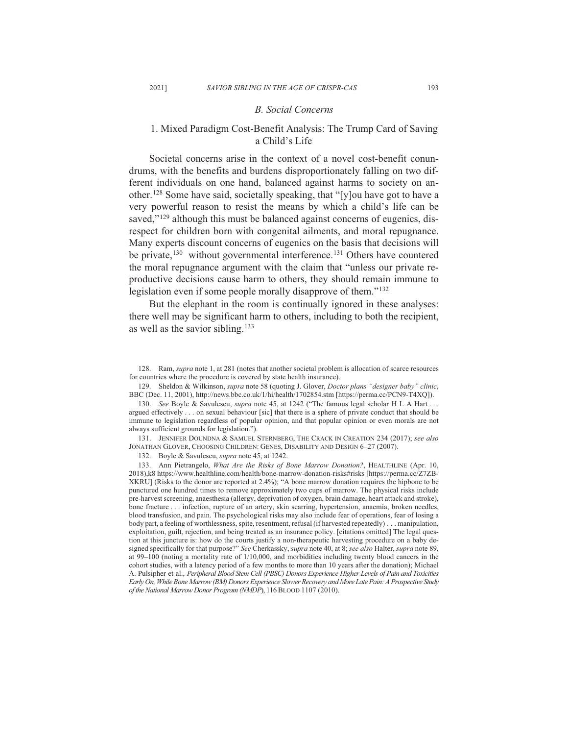#### *B. Social Concerns*

## 1. Mixed Paradigm Cost-Benefit Analysis: The Trump Card of Saving a Child's Life

Societal concerns arise in the context of a novel cost-benefit conundrums, with the benefits and burdens disproportionately falling on two different individuals on one hand, balanced against harms to society on another.<sup>128</sup> Some have said, societally speaking, that "[y]ou have got to have a very powerful reason to resist the means by which a child's life can be saved," $129$  although this must be balanced against concerns of eugenics, disrespect for children born with congenital ailments, and moral repugnance. Many experts discount concerns of eugenics on the basis that decisions will be private,<sup>130</sup> without governmental interference.<sup>131</sup> Others have countered the moral repugnance argument with the claim that "unless our private reproductive decisions cause harm to others, they should remain immune to legislation even if some people morally disapprove of them."<sup>132</sup>

But the elephant in the room is continually ignored in these analyses: there well may be significant harm to others, including to both the recipient, as well as the savior sibling.  $133$ 

129. Sheldon & Wilkinson, *supra* note 58 (quoting J. Glover, *Doctor plans "designer baby" clinic*, BBC (Dec. 11, 2001), http://news.bbc.co.uk/1/hi/health/1702854.stm [https://perma.cc/PCN9-T4XO]).

130. See Boyle & Savulescu, *supra* note 45, at 1242 ("The famous legal scholar H L A Hart ... argued effectively  $\ldots$  on sexual behaviour [sic] that there is a sphere of private conduct that should be immune to legislation regardless of popular opinion, and that popular opinion or even morals are not always sufficient grounds for legislation.").

131. JENNIFER DOUNDNA & SAMUEL STERNBERG, THE CRACK IN CREATION 234 (2017); see also JONATHAN GLOVER, CHOOSING CHILDREN: GENES, DISABILITY AND DESIGN 6-27 (2007).

132. Boyle & Savulescu, *supra* note 45, at 1242.

133. Ann Pietrangelo, What Are the Risks of Bone Marrow Donation?, HEALTHLINE (Apr. 10, 2018),k8 https://www.healthline.com/health/bone-marrow-donation-risks#risks [https://perma.cc/Z7ZB-XKRU] (Risks to the donor are reported at  $2.4\%$ ); "A bone marrow donation requires the hipbone to be punctured one hundred times to remove approximately two cups of marrow. The physical risks include pre-harvest screening, anaesthesia (allergy, deprivation of oxygen, brain damage, heart attack and stroke), bone fracture ... infection, rupture of an artery, skin scarring, hypertension, anaemia, broken needles, blood transfusion, and pain. The psychological risks may also include fear of operations, fear of losing a body part, a feeling of worthlessness, spite, resentment, refusal (if harvested repeatedly) . . . manipulation, exploitation, guilt, rejection, and being treated as an insurance policy. [citations omitted] The legal question at this juncture is: how do the courts justify a non-therapeutic harvesting procedure on a baby designed specifically for that purpose?" *See* Cherkassky, *supra* note 40, at 8; *see also* Halter, *supra* note 89, at 99 $-100$  (noting a mortality rate of  $1/10,000$ , and morbidities including twenty blood cancers in the cohort studies, with a latency period of a few months to more than 10 years after the donation); Michael A. Pulsipher et al., Peripheral Blood Stem Cell (PBSC) Donors Experience Higher Levels of Pain and Toxicities *Early On, While Bone Marrow (BM) Donors Experience Slower Recovery and More Late Pain: A Prospective Study*  of the National Marrow Donor Program (NMDP), 116 BLOOD 1107 (2010).

<sup>128.</sup> Ram, *supra* note 1, at 281 (notes that another societal problem is allocation of scarce resources for countries where the procedure is covered by state health insurance).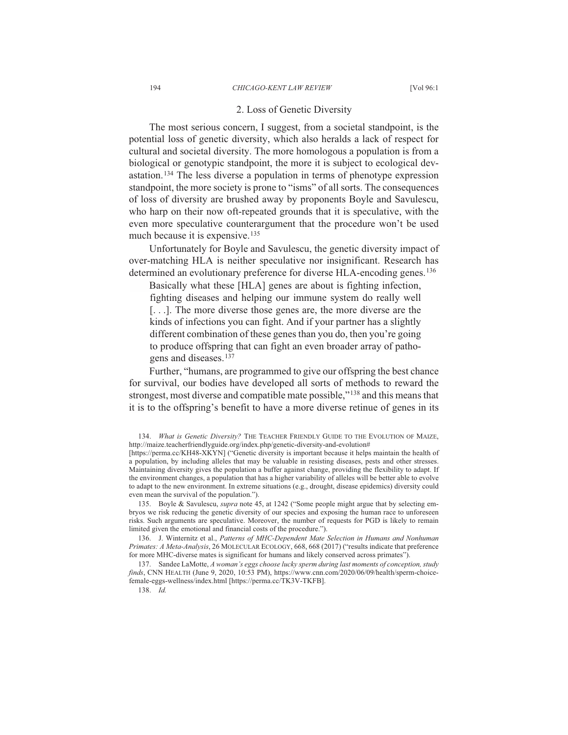#### 2. Loss of Genetic Diversity

The most serious concern, I suggest, from a societal standpoint, is the potential loss of genetic diversity, which also heralds a lack of respect for cultural and societal diversity. The more homologous a population is from a biological or genotypic standpoint, the more it is subject to ecological devastation.<sup>134</sup> The less diverse a population in terms of phenotype expression standpoint, the more society is prone to "isms" of all sorts. The consequences of loss of diversity are brushed away by proponents Boyle and Savulescu, who harp on their now oft-repeated grounds that it is speculative, with the even more speculative counterargument that the procedure won't be used much because it is expensive.  $135$ 

Unfortunately for Boyle and Savulescu, the genetic diversity impact of over-matching HLA is neither speculative nor insignificant. Research has determined an evolutionary preference for diverse HLA-encoding genes.<sup>136</sup>

Basically what these [HLA] genes are about is fighting infection, fighting diseases and helping our immune system do really well  $[\dots]$ . The more diverse those genes are, the more diverse are the kinds of infections you can fight. And if your partner has a slightly different combination of these genes than you do, then you're going to produce offspring that can fight an even broader array of pathogens and diseases.<sup>137</sup>

Further, "humans, are programmed to give our offspring the best chance for survival, our bodies have developed all sorts of methods to reward the strongest, most diverse and compatible mate possible,"<sup>138</sup> and this means that it is to the offspring's benefit to have a more diverse retinue of genes in its

135. Boyle & Savulescu, *supra* note 45, at 1242 ("Some people might argue that by selecting embryos we risk reducing the genetic diversity of our species and exposing the human race to unforeseen risks. Such arguments are speculative. Moreover, the number of requests for PGD is likely to remain limited given the emotional and financial costs of the procedure.").

136. J. Winternitz et al., Patterns of MHC-Dependent Mate Selection in Humans and Nonhuman *Primates: A Meta-Analysis, 26 MOLECULAR ECOLOGY, 668, 668 (2017)* ("results indicate that preference for more MHC-diverse mates is significant for humans and likely conserved across primates").

137. Sandee LaMotte, A woman's eggs choose lucky sperm during last moments of conception, study finds, CNN HEALTH (June 9, 2020, 10:53 PM), https://www.cnn.com/2020/06/09/health/sperm-choicefemale-eggs-wellness/index.html [https://perma.cc/TK3V-TKFB].

*Id.*

<sup>134.</sup> *What is Genetic Diversity?* THE TEACHER FRIENDLY GUIDE TO THE EVOLUTION OF MAIZE, http://maize.teacherfriendlyguide.org/index.php/genetic-diversity-and-evolution#

<sup>[</sup>https://perma.cc/KH48-XKYN] ("Genetic diversity is important because it helps maintain the health of a population, by including alleles that may be valuable in resisting diseases, pests and other stresses. Maintaining diversity gives the population a buffer against change, providing the flexibility to adapt. If the environment changes, a population that has a higher variability of alleles will be better able to evolve to adapt to the new environment. In extreme situations (e.g., drought, disease epidemics) diversity could even mean the survival of the population.").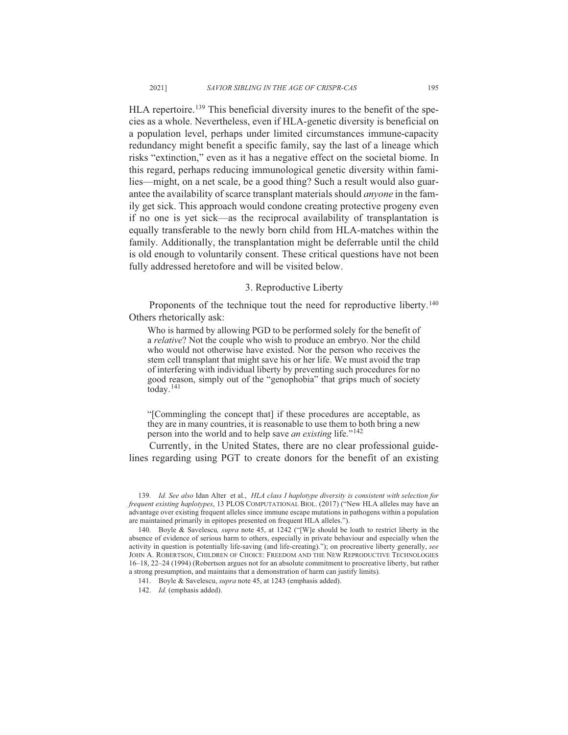HLA repertoire.<sup>139</sup> This beneficial diversity inures to the benefit of the species as a whole. Nevertheless, even if HLA-genetic diversity is beneficial on a population level, perhaps under limited circumstances immune-capacity redundancy might benefit a specific family, say the last of a lineage which risks "extinction," even as it has a negative effect on the societal biome. In this regard, perhaps reducing immunological genetic diversity within families—might, on a net scale, be a good thing? Such a result would also guarantee the availability of scarce transplant materials should *anyone* in the family get sick. This approach would condone creating protective progeny even if no one is yet sick—as the reciprocal availability of transplantation is equally transferable to the newly born child from HLA-matches within the family. Additionally, the transplantation might be deferrable until the child is old enough to voluntarily consent. These critical questions have not been fully addressed heretofore and will be visited below.

#### 3. Reproductive Liberty

Proponents of the technique tout the need for reproductive liberty.<sup>140</sup> Others rhetorically ask:

Who is harmed by allowing PGD to be performed solely for the benefit of a *relative*? Not the couple who wish to produce an embryo. Nor the child who would not otherwise have existed. Nor the person who receives the stem cell transplant that might save his or her life. We must avoid the trap of interfering with individual liberty by preventing such procedures for no good reason, simply out of the "genophobia" that grips much of society  $\text{today.}^{141}$ 

"[Commingling the concept that] if these procedures are acceptable, as they are in many countries, it is reasonable to use them to both bring a new person into the world and to help save an existing life."<sup>142</sup>

Currently, in the United States, there are no clear professional guidelines regarding using PGT to create donors for the benefit of an existing

139. Id. See also Idan Alter et al., HLA class I haplotype diversity is consistent with selection for *frequent existing haplotypes*, 13 PLOS COMPUTATIONAL BIOL. (2017) ("New HLA alleles may have an advantage over existing frequent alleles since immune escape mutations in pathogens within a population are maintained primarily in epitopes presented on frequent HLA alleles.").

<sup>140.</sup> Boyle & Savelescu, *supra* note 45, at 1242 ("[W]e should be loath to restrict liberty in the absence of evidence of serious harm to others, especially in private behaviour and especially when the activity in question is potentially life-saving (and life-creating)."); on procreative liberty generally, see JOHN A. ROBERTSON, CHILDREN OF CHOICE: FREEDOM AND THE NEW REPRODUCTIVE TECHNOLOGIES 16–18, 22–24 (1994) (Robertson argues not for an absolute commitment to procreative liberty, but rather a strong presumption, and maintains that a demonstration of harm can justify limits).

<sup>141.</sup> Boyle & Savelescu, *supra* note 45, at 1243 (emphasis added).

<sup>142.</sup> *Id.* (emphasis added).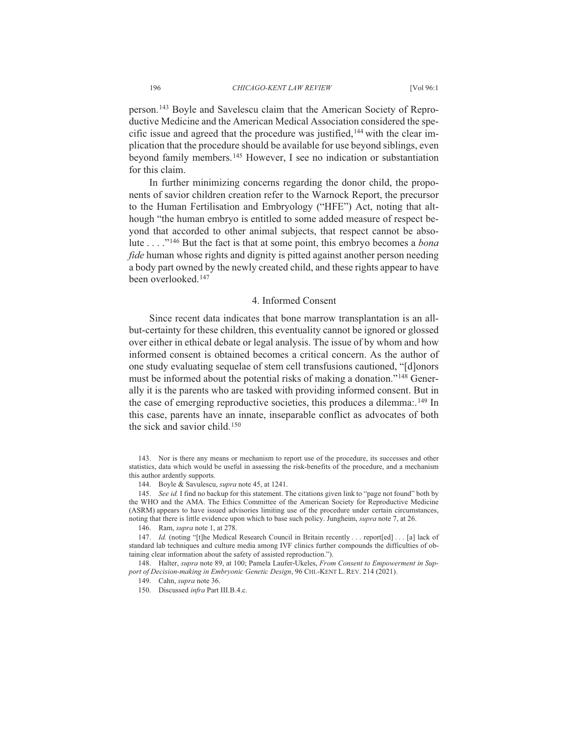person.<sup>143</sup> Boyle and Savelescu claim that the American Society of Reproductive Medicine and the American Medical Association considered the specific issue and agreed that the procedure was justified,<sup>144</sup> with the clear implication that the procedure should be available for use beyond siblings, even beyond family members.<sup>145</sup> However, I see no indication or substantiation for this claim.

In further minimizing concerns regarding the donor child, the proponents of savior children creation refer to the Warnock Report, the precursor to the Human Fertilisation and Embryology ("HFE") Act, noting that although "the human embryo is entitled to some added measure of respect beyond that accorded to other animal subjects, that respect cannot be absolute . . . .<sup>"146</sup> But the fact is that at some point, this embryo becomes a *bona fide* human whose rights and dignity is pitted against another person needing a body part owned by the newly created child, and these rights appear to have been overlooked.<sup>147</sup>

#### 4. Informed Consent

Since recent data indicates that bone marrow transplantation is an allbut-certainty for these children, this eventuality cannot be ignored or glossed over either in ethical debate or legal analysis. The issue of by whom and how informed consent is obtained becomes a critical concern. As the author of one study evaluating sequelae of stem cell transfusions cautioned, "[d]onors must be informed about the potential risks of making a donation."<sup>148</sup> Generally it is the parents who are tasked with providing informed consent. But in the case of emerging reproductive societies, this produces a dilemma: <sup>149</sup> In this case, parents have an innate, inseparable conflict as advocates of both the sick and savior child.<sup>150</sup>

143. Nor is there any means or mechanism to report use of the procedure, its successes and other statistics, data which would be useful in assessing the risk-benefits of the procedure, and a mechanism this author ardently supports.

144. Boyle & Savulescu, *supra* note 45, at 1241.

145. See id. I find no backup for this statement. The citations given link to "page not found" both by the WHO and the AMA. The Ethics Committee of the American Society for Reproductive Medicine (ASRM) appears to have issued advisories limiting use of the procedure under certain circumstances, noting that there is little evidence upon which to base such policy. Jungheim, *supra* note 7, at 26.

146. Ram. *supra* note 1, at 278.

147. *Id.* (noting "[t]he Medical Research Council in Britain recently . . . report[ed] . . . [a] lack of standard lab techniques and culture media among IVF clinics further compounds the difficulties of obtaining clear information about the safety of assisted reproduction.").

148. Halter, *supra* note 89, at 100; Pamela Laufer-Ukeles, *From Consent to Empowerment in Sup*port of Decision-making in Embryonic Genetic Design, 96 CHI.-KENT L. REV. 214 (2021).

149. Cahn, *supra* note 36.

150. Discussed infra Part III.B.4.c.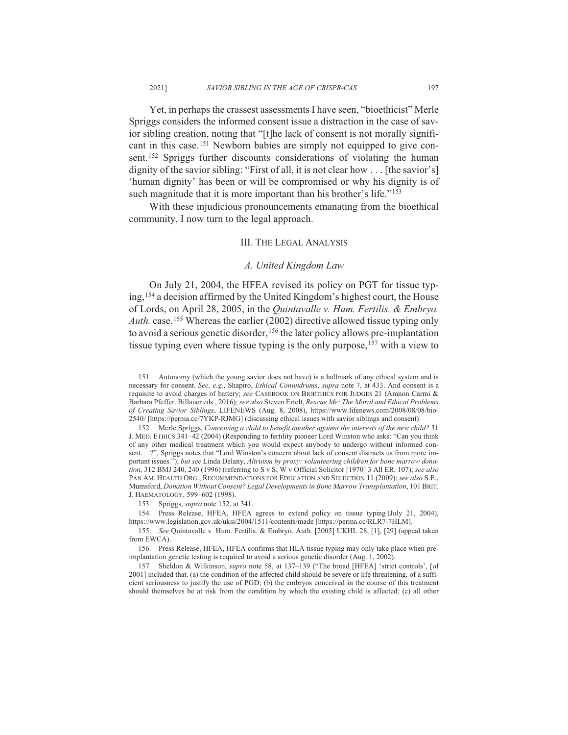Yet, in perhaps the crassest assessments I have seen, "bioethicist" Merle Spriggs considers the informed consent issue a distraction in the case of savior sibling creation, noting that "[t]he lack of consent is not morally significant in this case.<sup>151</sup> Newborn babies are simply not equipped to give consent.<sup>152</sup> Spriggs further discounts considerations of violating the human dignity of the savior sibling: "First of all, it is not clear how . . . [the savior's] 'human dignity' has been or will be compromised or why his dignity is of such magnitude that it is more important than his brother's life."<sup>153</sup>

With these injudicious pronouncements emanating from the bioethical community, I now turn to the legal approach.

#### **III. THE LEGAL ANALYSIS**

#### A. United Kingdom Law

On July 21, 2004, the HFEA revised its policy on PGT for tissue typing, <sup>154</sup> a decision affirmed by the United Kingdom's highest court, the House of Lords, on April 28, 2005, in the Quintavalle v. Hum. Fertilis. & Embryo. *Auth.* case.<sup>155</sup> Whereas the earlier (2002) directive allowed tissue typing only to avoid a serious genetic disorder,<sup>156</sup> the later policy allows pre-implantation tissue typing even where tissue typing is the only purpose,<sup>157</sup> with a view to

152. Merle Spriggs, Conceiving a child to benefit another against the interests of the new child? 31 J. MED. ETHICS 341-42 (2004) (Responding to fertility pioneer Lord Winston who asks: "Can you think of any other medical treatment which you would expect anybody to undergo without informed consent...?", Spriggs notes that "Lord Winston's concern about lack of consent distracts us from more important issues."); but see Linda Delany, Altruism by proxy: volunteering children for bone marrow donation, 312 BMJ 240, 240 (1996) (referring to S v S, W v Official Solicitor [1970] 3 All ER. 107); see also PAN AM. HEALTH ORG., RECOMMENDATIONS FOR EDUCATION AND SELECTION 11 (2009); see also S.E., Mumsford, Donation Without Consent? Legal Developments in Bone Marrow Transplantation, 101 BRIT. J. HAEMATOLOGY, 599-602 (1998).

153. Spriggs, *supra* note 152, at 341.

154. Press Release, HFEA, HFEA agrees to extend policy on tissue typing (July 21, 2004), https://www.legislation.gov.uk/uksi/2004/1511/contents/made [https://perma.cc/RLR7-7HLM].

155. See Quintavalle v. Hum. Fertilis. & Embryo. Auth. [2005] UKHL 28, [1], [29] (appeal taken from EWCA).

156. Press Release, HFEA, HFEA confirms that HLA tissue typing may only take place when preimplantation genetic testing is required to avoid a serious genetic disorder (Aug. 1, 2002).

157. Sheldon & Wilkinson, *supra* note 58, at 137-139 ("The broad [HFEA] 'strict controls', [of 2001] included that. (a) the condition of the affected child should be severe or life threatening, of a sufficient seriousness to justify the use of PGD; (b) the embryos conceived in the course of this treatment should themselves be at risk from the condition by which the existing child is affected; (c) all other

<sup>151.</sup> Autonomy (which the young savior does not have) is a hallmark of any ethical system and is necessary for consent. See, e.g., Shapiro, Ethical Conundrums, supra note 7, at 433. And consent is a requisite to avoid charges of battery; see CASEBOOK ON BIOETHICS FOR JUDGES 21 (Amnon Carmi & Barbara Pfeffer. Billauer eds., 2016); see also Steven Ertelt, Rescue Me: The Moral and Ethical Problems of Creating Savior Siblings, LIFENEWS (Aug. 8, 2008), https://www.lifenews.com/2008/08/08/bio-2540/ [https://perma.cc/7YKP-RJMG] (discussing ethical issues with savior siblings and consent).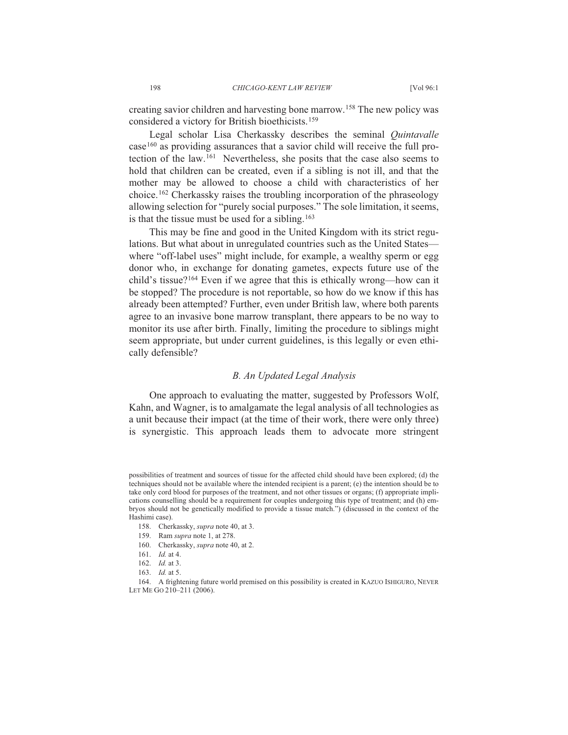creating savior children and harvesting bone marrow.<sup>158</sup> The new policy was considered a victory for British bioethicists.<sup>159</sup>

Legal scholar Lisa Cherkassky describes the seminal *Quintavalle*  $\text{case}^{160}$  as providing assurances that a savior child will receive the full protection of the law.<sup>161</sup> Nevertheless, she posits that the case also seems to hold that children can be created, even if a sibling is not ill, and that the mother may be allowed to choose a child with characteristics of her choice.<sup>162</sup> Cherkassky raises the troubling incorporation of the phraseology allowing selection for "purely social purposes." The sole limitation, it seems, is that the tissue must be used for a sibling.  $163$ 

This may be fine and good in the United Kingdom with its strict regulations. But what about in unregulated countries such as the United Stateswhere "off-label uses" might include, for example, a wealthy sperm or egg donor who, in exchange for donating gametes, expects future use of the child's tissue?<sup>164</sup> Even if we agree that this is ethically wrong—how can it be stopped? The procedure is not reportable, so how do we know if this has already been attempted? Further, even under British law, where both parents agree to an invasive bone marrow transplant, there appears to be no way to monitor its use after birth. Finally, limiting the procedure to siblings might seem appropriate, but under current guidelines, is this legally or even ethically defensible?

#### *B. An Updated Legal Analysis*

One approach to evaluating the matter, suggested by Professors Wolf, Kahn, and Wagner, is to amalgamate the legal analysis of all technologies as a unit because their impact (at the time of their work, there were only three) is synergistic. This approach leads them to advocate more stringent

possibilities of treatment and sources of tissue for the affected child should have been explored; (d) the techniques should not be available where the intended recipient is a parent; (e) the intention should be to take only cord blood for purposes of the treatment, and not other tissues or organs; (f) appropriate implications counselling should be a requirement for couples undergoing this type of treatment; and (h) embryos should not be genetically modified to provide a tissue match.") (discussed in the context of the Hashimi case).

<sup>158.</sup> Cherkassky, *supra* note 40, at 3.

<sup>159.</sup> Ram *supra* note 1, at 278.

<sup>160.</sup> Cherkassky, *supra* note 40, at 2.

<sup>161.</sup> *Id.* at 4.

<sup>162.</sup> *Id.* at 3.

<sup>163.</sup> *Id.* at 5.

<sup>164.</sup> A frightening future world premised on this possibility is created in KAZUO ISHIGURO, NEVER LET ME GO 210-211 (2006).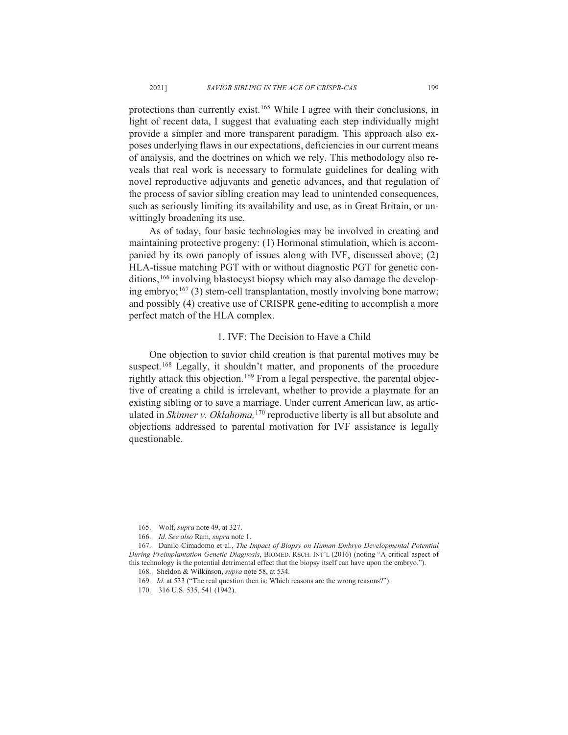protections than currently exist.<sup>165</sup> While I agree with their conclusions, in light of recent data, I suggest that evaluating each step individually might provide a simpler and more transparent paradigm. This approach also exposes underlying flaws in our expectations, deficiencies in our current means of analysis, and the doctrines on which we rely. This methodology also reveals that real work is necessary to formulate guidelines for dealing with novel reproductive adjuvants and genetic advances, and that regulation of the process of savior sibling creation may lead to unintended consequences, such as seriously limiting its availability and use, as in Great Britain, or unwittingly broadening its use.

As of today, four basic technologies may be involved in creating and maintaining protective progeny: (1) Hormonal stimulation, which is accompanied by its own panoply of issues along with IVF, discussed above;  $(2)$ HLA-tissue matching PGT with or without diagnostic PGT for genetic conditions.<sup>166</sup> involving blastocyst biopsy which may also damage the developing embryo;<sup>167</sup> (3) stem-cell transplantation, mostly involving bone marrow; and possibly (4) creative use of CRISPR gene-editing to accomplish a more perfect match of the HLA complex.

#### 1. IVF: The Decision to Have a Child

One objection to savior child creation is that parental motives may be suspect.<sup>168</sup> Legally, it shouldn't matter, and proponents of the procedure rightly attack this objection.<sup>169</sup> From a legal perspective, the parental objective of creating a child is irrelevant, whether to provide a playmate for an existing sibling or to save a marriage. Under current American law, as articulated in Skinner v. Oklahoma,<sup>170</sup> reproductive liberty is all but absolute and objections addressed to parental motivation for IVF assistance is legally questionable.

<sup>165.</sup> Wolf, *supra* note 49, at 327.

<sup>166.</sup> *Id.* See also Ram, supra note 1.

<sup>167.</sup> Danilo Cimadomo et al., The Impact of Biopsy on Human Embryo Developmental Potential *During Preimplantation Genetic Diagnosis*, BIOMED. RSCH. INT'L (2016) (noting "A critical aspect of this technology is the potential detrimental effect that the biopsy itself can have upon the embryo.").

<sup>168.</sup> Sheldon & Wilkinson, *supra* note 58, at 534.

<sup>169.</sup> *Id.* at 533 ("The real question then is: Which reasons are the wrong reasons?").

<sup>170. 316</sup> U.S. 535, 541 (1942).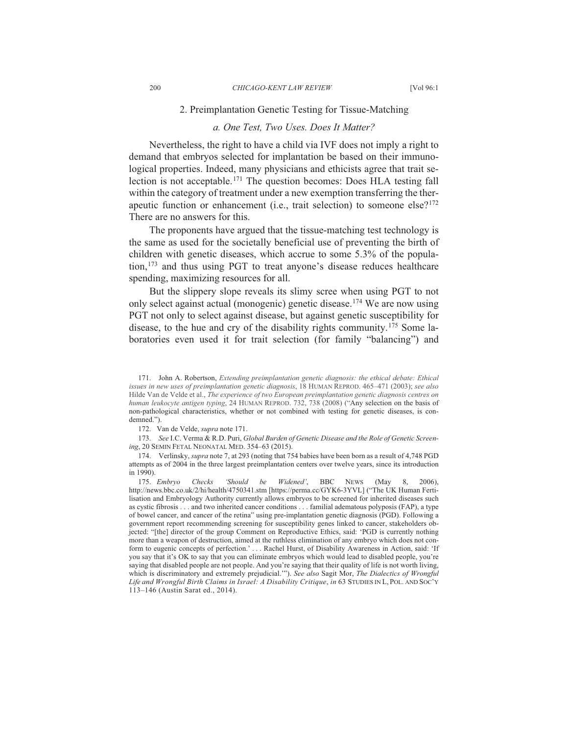#### 2. Preimplantation Genetic Testing for Tissue-Matching

#### *a. One Test, Two Uses. Does It Matter?*

Nevertheless, the right to have a child via IVF does not imply a right to demand that embryos selected for implantation be based on their immunological properties. Indeed, many physicians and ethicists agree that trait selection is not acceptable.<sup>171</sup> The question becomes: Does HLA testing fall within the category of treatment under a new exemption transferring the therapeutic function or enhancement (i.e., trait selection) to someone else? $172$ There are no answers for this.

The proponents have argued that the tissue-matching test technology is the same as used for the societally beneficial use of preventing the birth of children with genetic diseases, which accrue to some  $5.3\%$  of the population,  $173$  and thus using PGT to treat anyone's disease reduces healthcare spending, maximizing resources for all.

But the slippery slope reveals its slimy scree when using PGT to not only select against actual (monogenic) genetic disease.<sup>174</sup> We are now using PGT not only to select against disease, but against genetic susceptibility for disease, to the hue and cry of the disability rights community.<sup>175</sup> Some laboratories even used it for trait selection (for family "balancing") and

172. Van de Velde, *supra* note 171.

173. See I.C. Verma & R.D. Puri, Global Burden of Genetic Disease and the Role of Genetic Screen*ing*, 20 SEMIN FETAL NEONATAL MED. 354-63 (2015).

174. Verlinsky, *supra* note 7, at 293 (noting that 754 babies have been born as a result of 4,748 PGD attempts as of 2004 in the three largest preimplantation centers over twelve years, since its introduction in 1990).

175. Embryo Checks 'Should be Widened', BBC NEWS (May 8, 2006), http://news.bbc.co.uk/2/hi/health/4750341.stm [https://perma.cc/GYK6-3YVL] ("The UK Human Fertilisation and Embryology Authority currently allows embryos to be screened for inherited diseases such as cystic fibrosis  $\ldots$  and two inherited cancer conditions  $\ldots$  familial adematous polyposis (FAP), a type of bowel cancer, and cancer of the retina" using pre-implantation genetic diagnosis (PGD). Following a government report recommending screening for susceptibility genes linked to cancer, stakeholders objected: "[the] director of the group Comment on Reproductive Ethics, said: 'PGD is currently nothing more than a weapon of destruction, aimed at the ruthless elimination of any embryo which does not conform to eugenic concepts of perfection.' . . . Rachel Hurst, of Disability Awareness in Action, said: 'If you say that it's OK to say that you can eliminate embryos which would lead to disabled people, you're saying that disabled people are not people. And you're saying that their quality of life is not worth living, which is discriminatory and extremely prejudicial.""). See also Sagit Mor, The Dialectics of Wrongful Life and Wrongful Birth Claims in Israel: A Disability Critique, in 63 STUDIES IN L, POL. AND SOC'Y 113-146 (Austin Sarat ed., 2014).

<sup>171.</sup> John A. Robertson, *Extending preimplantation genetic diagnosis: the ethical debate: Ethical issues in new uses of preimplantation genetic diagnosis*, 18 HUMAN REPROD. 465–471 (2003); see also Hilde Van de Velde et al., *The experience of two European preimplantation genetic diagnosis centres on* human leukocyte antigen typing, 24 HUMAN REPROD. 732, 738 (2008) ("Any selection on the basis of non-pathological characteristics, whether or not combined with testing for genetic diseases, is condemned.").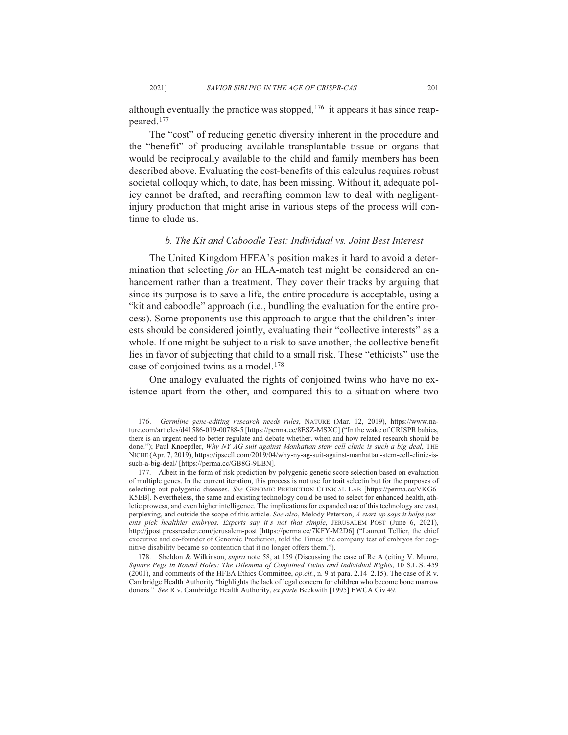although eventually the practice was stopped,  $176$  it appears it has since reappeared.<sup>177</sup>

The "cost" of reducing genetic diversity inherent in the procedure and the "benefit" of producing available transplantable tissue or organs that would be reciprocally available to the child and family members has been described above. Evaluating the cost-benefits of this calculus requires robust societal colloquy which, to date, has been missing. Without it, adequate policy cannot be drafted, and recrafting common law to deal with negligentinjury production that might arise in various steps of the process will continue to elude us.

#### *b. The Kit and Caboodle Test: Individual vs. Joint Best Interest*

The United Kingdom HFEA's position makes it hard to avoid a determination that selecting for an HLA-match test might be considered an enhancement rather than a treatment. They cover their tracks by arguing that since its purpose is to save a life, the entire procedure is acceptable, using a "kit and caboodle" approach (i.e., bundling the evaluation for the entire process). Some proponents use this approach to argue that the children's interests should be considered jointly, evaluating their "collective interests" as a whole. If one might be subject to a risk to save another, the collective benefit lies in favor of subjecting that child to a small risk. These "ethicists" use the case of conjoined twins as a model. $178$ 

One analogy evaluated the rights of conjoined twins who have no existence apart from the other, and compared this to a situation where two

178. Sheldon & Wilkinson, *supra* note 58, at 159 (Discussing the case of Re A (citing V. Munro, Square Pegs in Round Holes: The Dilemma of Conjoined Twins and Individual Rights, 10 S.L.S. 459  $(2001)$ , and comments of the HFEA Ethics Committee, *op.cit.*, n. 9 at para. 2.14–2.15). The case of R v. Cambridge Health Authority "highlights the lack of legal concern for children who become bone marrow donors." See R v. Cambridge Health Authority, ex parte Beckwith [1995] EWCA Civ 49.

<sup>176.</sup> Germline gene-editing research needs rules, NATURE (Mar. 12, 2019), https://www.nature.com/articles/d41586-019-00788-5 [https://perma.cc/8ESZ-MSXC] ("In the wake of CRISPR babies, there is an urgent need to better regulate and debate whether, when and how related research should be done."): Paul Knoepfler, Why NY AG suit against Manhattan stem cell clinic is such a big deal. THE NICHE (Apr. 7, 2019), https://ipscell.com/2019/04/why-ny-ag-suit-against-manhattan-stem-cell-clinic-issuch-a-big-deal/ [https://perma.cc/GB8G-9LBN].

<sup>177.</sup> Albeit in the form of risk prediction by polygenic genetic score selection based on evaluation of multiple genes. In the current iteration, this process is not use for trait selectin but for the purposes of selecting out polygenic diseases. See GENOMIC PREDICTION CLINICAL LAB [https://perma.cc/VKG6-K5EB]. Nevertheless, the same and existing technology could be used to select for enhanced health, athletic prowess, and even higher intelligence. The implications for expanded use of this technology are vast, perplexing, and outside the scope of this article. See also, Melody Peterson, A start-up says it helps par*ents pick healthier embryos. Experts say it's not that simple*, JERUSALEM POST (June 6, 2021), http://jpost.pressreader.com/jerusalem-post [https://perma.cc/7KFY-M2D6] ("Laurent Tellier, the chief executive and co-founder of Genomic Prediction, told the Times: the company test of embryos for cognitive disability became so contention that it no longer offers them.").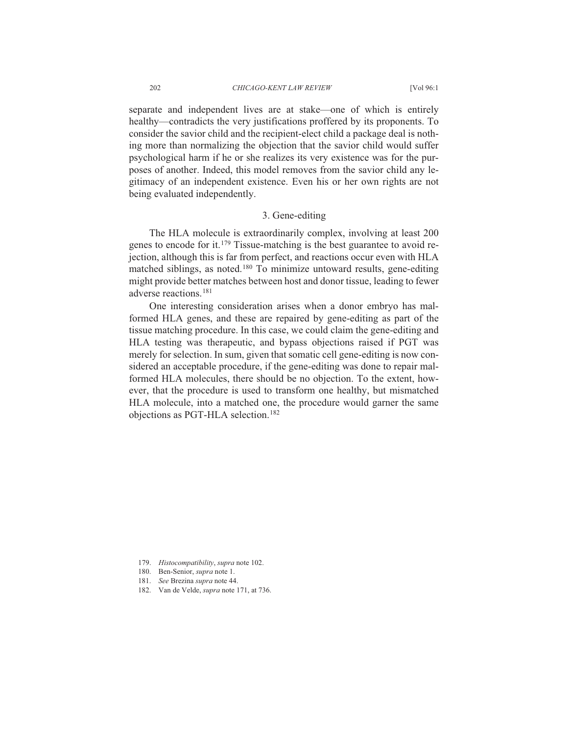separate and independent lives are at stake—one of which is entirely healthy—contradicts the very justifications proffered by its proponents. To consider the savior child and the recipient-elect child a package deal is nothing more than normalizing the objection that the savior child would suffer psychological harm if he or she realizes its very existence was for the purposes of another. Indeed, this model removes from the savior child any legitimacy of an independent existence. Even his or her own rights are not being evaluated independently.

### 3. Gene-editing

The HLA molecule is extraordinarily complex, involving at least 200 genes to encode for it.<sup>179</sup> Tissue-matching is the best guarantee to avoid rejection, although this is far from perfect, and reactions occur even with HLA matched siblings, as noted.<sup>180</sup> To minimize untoward results, gene-editing might provide better matches between host and donor tissue, leading to fewer adverse reactions.<sup>181</sup>

One interesting consideration arises when a donor embryo has malformed HLA genes, and these are repaired by gene-editing as part of the tissue matching procedure. In this case, we could claim the gene-editing and HLA testing was therapeutic, and bypass objections raised if PGT was merely for selection. In sum, given that somatic cell gene-editing is now considered an acceptable procedure, if the gene-editing was done to repair malformed HLA molecules, there should be no objection. To the extent, however, that the procedure is used to transform one healthy, but mismatched HLA molecule, into a matched one, the procedure would garner the same objections as PGT-HLA selection.<sup>182</sup>

- 179. Histocompatibility, supra note 102.
- 180. Ben-Senior, supra note 1.
- 181. See Brezina supra note 44.
- 182. Van de Velde, *supra* note 171, at 736.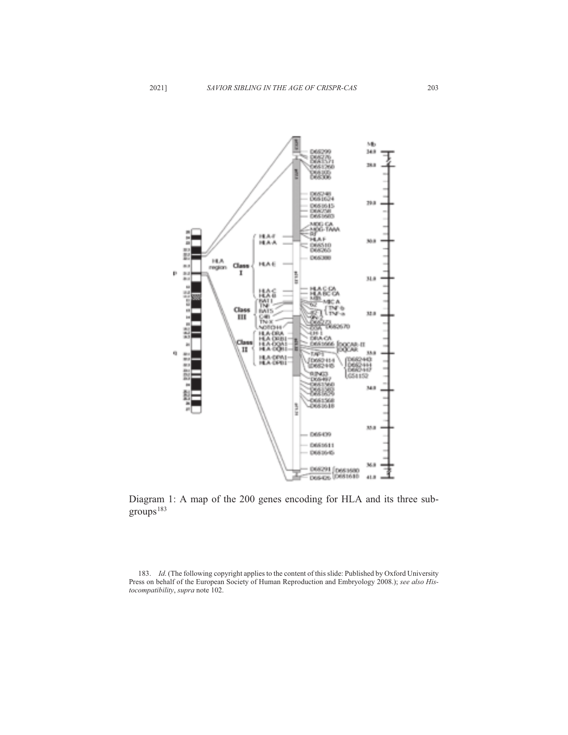

Diagram 1: A map of the 200 genes encoding for HLA and its three sub $groups<sup>183</sup>$ 

183. *Id.* (The following copyright applies to the content of this slide: Published by Oxford University Press on behalf of the European Society of Human Reproduction and Embryology 2008.); see also His*tocompatibility*, *supra* note 102.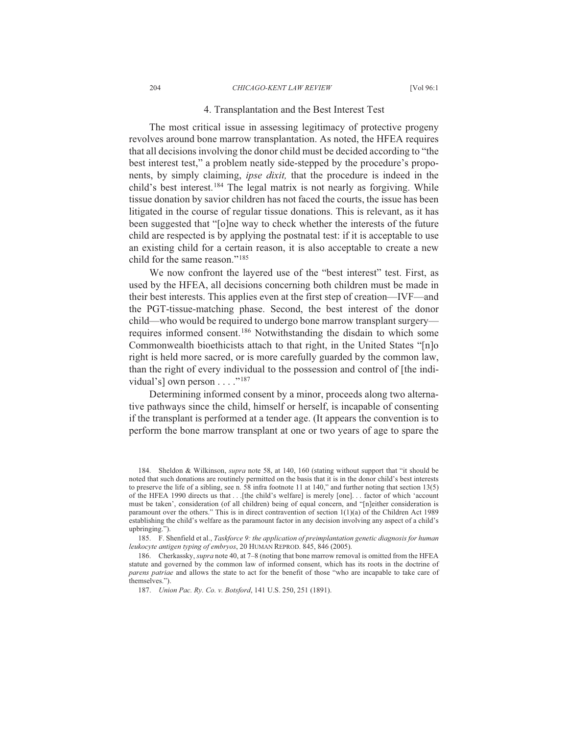#### CHICAGO-KENT LAW REVIEW

#### 4. Transplantation and the Best Interest Test

The most critical issue in assessing legitimacy of protective progeny revolves around bone marrow transplantation. As noted, the HFEA requires that all decisions involving the donor child must be decided according to "the best interest test," a problem neatly side-stepped by the procedure's proponents, by simply claiming, *ipse dixit*, that the procedure is indeed in the child's best interest.<sup>184</sup> The legal matrix is not nearly as forgiving. While tissue donation by savior children has not faced the courts, the issue has been litigated in the course of regular tissue donations. This is relevant, as it has been suggested that "[o]ne way to check whether the interests of the future child are respected is by applying the postnatal test: if it is acceptable to use an existing child for a certain reason, it is also acceptable to create a new child for the same reason."<sup>185</sup>

We now confront the layered use of the "best interest" test. First, as used by the HFEA, all decisions concerning both children must be made in their best interests. This applies even at the first step of creation—IVF—and the PGT-tissue-matching phase. Second, the best interest of the donor child—who would be required to undergo bone marrow transplant surgery requires informed consent.<sup>186</sup> Notwithstanding the disdain to which some Commonwealth bioethicists attach to that right, in the United States "[n]o right is held more sacred, or is more carefully guarded by the common law, than the right of every individual to the possession and control of [the individual's] own person  $\dots$  ."<sup>187</sup>

Determining informed consent by a minor, proceeds along two alternative pathways since the child, himself or herself, is incapable of consenting if the transplant is performed at a tender age. (It appears the convention is to perform the bone marrow transplant at one or two years of age to spare the

185. F. Shenfield et al., Taskforce 9: the application of preimplantation genetic diagnosis for human leukocyte antigen typing of embryos, 20 HUMAN REPROD. 845, 846 (2005).

187. Union Pac. Ry. Co. v. Botsford, 141 U.S. 250, 251 (1891).

<sup>184.</sup> Sheldon & Wilkinson, *supra* note 58, at 140, 160 (stating without support that "it should be noted that such donations are routinely permitted on the basis that it is in the donor child's best interests to preserve the life of a sibling, see n. 58 infra footnote 11 at 140," and further noting that section  $13(5)$ of the HFEA 1990 directs us that . . [the child's welfare] is merely [one]... factor of which 'account must be taken', consideration (of all children) being of equal concern, and "[n]either consideration is paramount over the others." This is in direct contravention of section  $1(1)(a)$  of the Children Act 1989 establishing the child's welfare as the paramount factor in any decision involving any aspect of a child's upbringing.").

<sup>186.</sup> Cherkassky, *supra* note 40, at 7–8 (noting that bone marrow removal is omitted from the HFEA statute and governed by the common law of informed consent, which has its roots in the doctrine of parens patriae and allows the state to act for the benefit of those "who are incapable to take care of themselves.").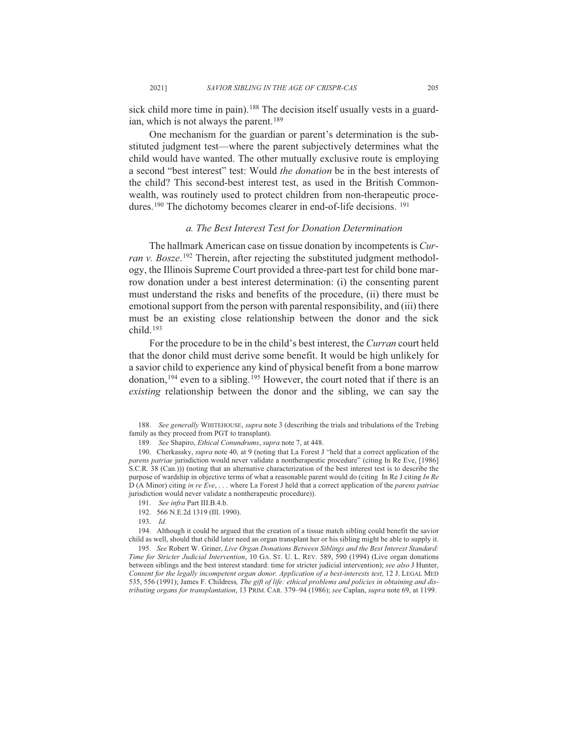sick child more time in pain).<sup>188</sup> The decision itself usually vests in a guardian, which is not always the parent.<sup>189</sup>

One mechanism for the guardian or parent's determination is the substituted judgment test—where the parent subjectively determines what the child would have wanted. The other mutually exclusive route is employing a second "best interest" test: Would *the donation* be in the best interests of the child? This second-best interest test, as used in the British Commonwealth, was routinely used to protect children from non-therapeutic procedures.<sup>190</sup> The dichotomy becomes clearer in end-of-life decisions.<sup>191</sup>

#### a. The Best Interest Test for Donation Determination

The hallmark American case on tissue donation by incompetents is Curran v. Bosze.<sup>192</sup> Therein, after rejecting the substituted judgment methodology, the Illinois Supreme Court provided a three-part test for child bone marrow donation under a best interest determination: (i) the consenting parent must understand the risks and benefits of the procedure, (ii) there must be emotional support from the person with parental responsibility, and (iii) there must be an existing close relationship between the donor and the sick child. $193$ 

For the procedure to be in the child's best interest, the Curran court held that the donor child must derive some benefit. It would be high unlikely for a savior child to experience any kind of physical benefit from a bone marrow donation,  $194$  even to a sibling.  $195$  However, the court noted that if there is an existing relationship between the donor and the sibling, we can say the

188. See generally WHITEHOUSE, supra note 3 (describing the trials and tribulations of the Trebing family as they proceed from PGT to transplant).

189. See Shapiro, Ethical Conundrums, supra note 7, at 448.

190. Cherkassky, supra note 40, at 9 (noting that La Forest J "held that a correct application of the parens patriae jurisdiction would never validate a nontherapeutic procedure" (citing In Re Eve, [1986] S.C.R. 38 (Can.))) (noting that an alternative characterization of the best interest test is to describe the purpose of wardship in objective terms of what a reasonable parent would do (citing In Re J citing In Re  $\overline{D}$  (A Minor) citing in re Eve, ... where La Forest J held that a correct application of the *parens patriae* jurisdiction would never validate a nontherapeutic procedure)).

192. 566 N.E.2d 1319 (Ill. 1990).

194. Although it could be argued that the creation of a tissue match sibling could benefit the savior child as well, should that child later need an organ transplant her or his sibling might be able to supply it.

195. See Robert W. Griner, Live Organ Donations Between Siblings and the Best Interest Standard: Time for Stricter Judicial Intervention, 10 GA. ST. U. L. REV. 589, 590 (1994) (Live organ donations between siblings and the best interest standard: time for stricter judicial intervention); see also J Hunter, Consent for the legally incompetent organ donor. Application of a best-interests test, 12 J. LEGAL MED 535, 556 (1991); James F. Childress, The gift of life: ethical problems and policies in obtaining and distributing organs for transplantation, 13 PRIM. CAR. 379-94 (1986); see Caplan, supra note 69, at 1199.

<sup>191.</sup> See infra Part III.B.4.b.

 $193.$  Id.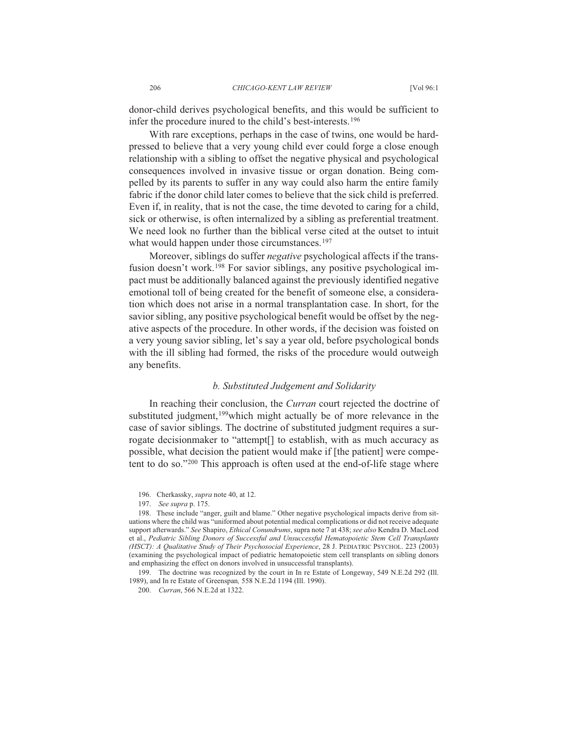donor-child derives psychological benefits, and this would be sufficient to infer the procedure inured to the child's best-interests.<sup>196</sup>

With rare exceptions, perhaps in the case of twins, one would be hardpressed to believe that a very young child ever could forge a close enough relationship with a sibling to offset the negative physical and psychological consequences involved in invasive tissue or organ donation. Being compelled by its parents to suffer in any way could also harm the entire family fabric if the donor child later comes to believe that the sick child is preferred. Even if, in reality, that is not the case, the time devoted to caring for a child, sick or otherwise, is often internalized by a sibling as preferential treatment. We need look no further than the biblical verse cited at the outset to intuit what would happen under those circumstances.<sup>197</sup>

Moreover, siblings do suffer *negative* psychological affects if the transfusion doesn't work.<sup>198</sup> For savior siblings, any positive psychological impact must be additionally balanced against the previously identified negative emotional toll of being created for the benefit of someone else, a consideration which does not arise in a normal transplantation case. In short, for the savior sibling, any positive psychological benefit would be offset by the negative aspects of the procedure. In other words, if the decision was foisted on a very young savior sibling, let's say a year old, before psychological bonds with the ill sibling had formed, the risks of the procedure would outweigh any benefits.

#### b. Substituted Judgement and Solidarity

In reaching their conclusion, the Curran court rejected the doctrine of substituted judgment,<sup>199</sup> which might actually be of more relevance in the case of savior siblings. The doctrine of substituted judgment requires a surrogate decisionmaker to "attempt[] to establish, with as much accuracy as possible, what decision the patient would make if [the patient] were competent to do so."200 This approach is often used at the end-of-life stage where

<sup>196.</sup> Cherkassky, *supra* note 40, at 12.

<sup>197.</sup> See supra p. 175.

<sup>198.</sup> These include "anger, guilt and blame." Other negative psychological impacts derive from situations where the child was "uniformed about potential medical complications or did not receive adequate support afterwards." See Shapiro, Ethical Conundrums, supra note 7 at 438; see also Kendra D. MacLeod et al., Pediatric Sibling Donors of Successful and Unsuccessful Hematopoietic Stem Cell Transplants (HSCT): A Qualitative Study of Their Psychosocial Experience, 28 J. PEDIATRIC PSYCHOL. 223 (2003) (examining the psychological impact of pediatric hematopoietic stem cell transplants on sibling donors and emphasizing the effect on donors involved in unsuccessful transplants).

<sup>199.</sup> The doctrine was recognized by the court in In re Estate of Longeway, 549 N.E.2d 292 (Ill. 1989), and In re Estate of Greenspan, 558 N.E.2d 1194 (Ill. 1990).

<sup>200.</sup> Curran, 566 N.E.2d at 1322.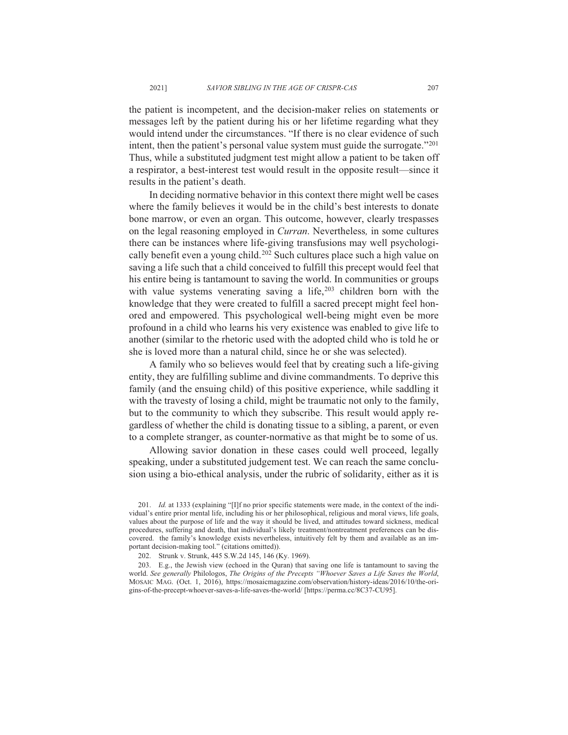the patient is incompetent, and the decision-maker relies on statements or messages left by the patient during his or her lifetime regarding what they would intend under the circumstances. "If there is no clear evidence of such intent, then the patient's personal value system must guide the surrogate."201 Thus, while a substituted judgment test might allow a patient to be taken off a respirator, a best-interest test would result in the opposite result—since it results in the patient's death.

In deciding normative behavior in this context there might well be cases where the family believes it would be in the child's best interests to donate bone marrow, or even an organ. This outcome, however, clearly trespasses on the legal reasoning employed in *Curran*. Nevertheless, in some cultures there can be instances where life-giving transfusions may well psychologically benefit even a young child.<sup>202</sup> Such cultures place such a high value on saving a life such that a child conceived to fulfill this precept would feel that his entire being is tantamount to saving the world. In communities or groups with value systems venerating saving a life,  $203$  children born with the knowledge that they were created to fulfill a sacred precept might feel honored and empowered. This psychological well-being might even be more profound in a child who learns his very existence was enabled to give life to another (similar to the rhetoric used with the adopted child who is told he or she is loved more than a natural child, since he or she was selected).

A family who so believes would feel that by creating such a life-giving entity, they are fulfilling sublime and divine commandments. To deprive this family (and the ensuing child) of this positive experience, while saddling it with the travesty of losing a child, might be traumatic not only to the family, but to the community to which they subscribe. This result would apply regardless of whether the child is donating tissue to a sibling, a parent, or even to a complete stranger, as counter-normative as that might be to some of us.

Allowing savior donation in these cases could well proceed, legally speaking, under a substituted judgement test. We can reach the same conclusion using a bio-ethical analysis, under the rubric of solidarity, either as it is

<sup>201.</sup> Id. at 1333 (explaining "[I]f no prior specific statements were made, in the context of the individual's entire prior mental life, including his or her philosophical, religious and moral views, life goals, values about the purpose of life and the way it should be lived, and attitudes toward sickness, medical procedures, suffering and death, that individual's likely treatment/nontreatment preferences can be discovered. the family's knowledge exists nevertheless, intuitively felt by them and available as an important decision-making tool." (citations omitted)).

<sup>202.</sup> Strunk v. Strunk, 445 S.W.2d 145, 146 (Ky. 1969).

<sup>203.</sup> E.g., the Jewish view (echoed in the Quran) that saving one life is tantamount to saving the world. See generally Philologos, The Origins of the Precepts "Whoever Saves a Life Saves the World, MOSAIC MAG. (Oct. 1, 2016), https://mosaicmagazine.com/observation/history-ideas/2016/10/the-origins-of-the-precept-whoever-saves-a-life-saves-the-world/ [https://perma.cc/8C37-CU95].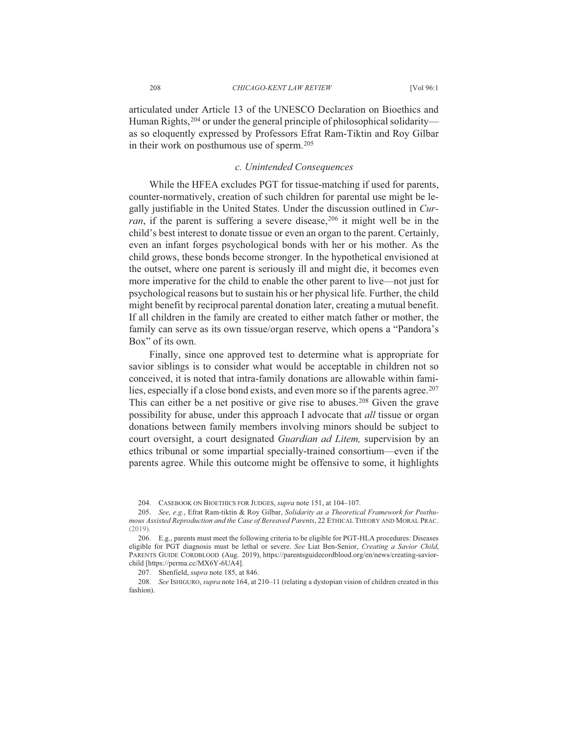articulated under Article 13 of the UNESCO Declaration on Bioethics and Human Rights,  $204$  or under the general principle of philosophical solidarity as so eloquently expressed by Professors Efrat Ram-Tiktin and Roy Gilbar in their work on posthumous use of sperm.<sup>205</sup>

#### c. Unintended Consequences

While the HFEA excludes PGT for tissue-matching if used for parents, counter-normatively, creation of such children for parental use might be legally justifiable in the United States. Under the discussion outlined in Curran, if the parent is suffering a severe disease, 206 it might well be in the child's best interest to donate tissue or even an organ to the parent. Certainly, even an infant forges psychological bonds with her or his mother. As the child grows, these bonds become stronger. In the hypothetical envisioned at the outset, where one parent is seriously ill and might die, it becomes even more imperative for the child to enable the other parent to live—not just for psychological reasons but to sustain his or her physical life. Further, the child might benefit by reciprocal parental donation later, creating a mutual benefit. If all children in the family are created to either match father or mother, the family can serve as its own tissue/organ reserve, which opens a "Pandora's Box" of its own.

Finally, since one approved test to determine what is appropriate for savior siblings is to consider what would be acceptable in children not so conceived, it is noted that intra-family donations are allowable within families, especially if a close bond exists, and even more so if the parents agree.<sup>207</sup> This can either be a net positive or give rise to abuses.<sup>208</sup> Given the grave possibility for abuse, under this approach I advocate that *all* tissue or organ donations between family members involving minors should be subject to court oversight, a court designated Guardian ad Litem, supervision by an ethics tribunal or some impartial specially-trained consortium—even if the parents agree. While this outcome might be offensive to some, it highlights

207. Shenfield, *supra* note 185, at 846.

208. See ISHIGURO, supra note 164, at 210-11 (relating a dystopian vision of children created in this fashion).

<sup>204.</sup> CASEBOOK ON BIOETHICS FOR JUDGES, supra note 151, at 104-107.

<sup>205.</sup> See, e.g., Efrat Ram-tiktin & Roy Gilbar, Solidarity as a Theoretical Framework for Posthumous Assisted Reproduction and the Case of Bereaved Parents, 22 ETHICAL THEORY AND MORAL PRAC.  $(2019)$ 

<sup>206.</sup> E.g., parents must meet the following criteria to be eligible for PGT-HLA procedures: Diseases eligible for PGT diagnosis must be lethal or severe. See Liat Ben-Senior, Creating a Savior Child, PARENTS GUIDE CORDBLOOD (Aug. 2019), https://parentsguidecordblood.org/en/news/creating-saviorchild [https://perma.cc/MX6Y-6UA4].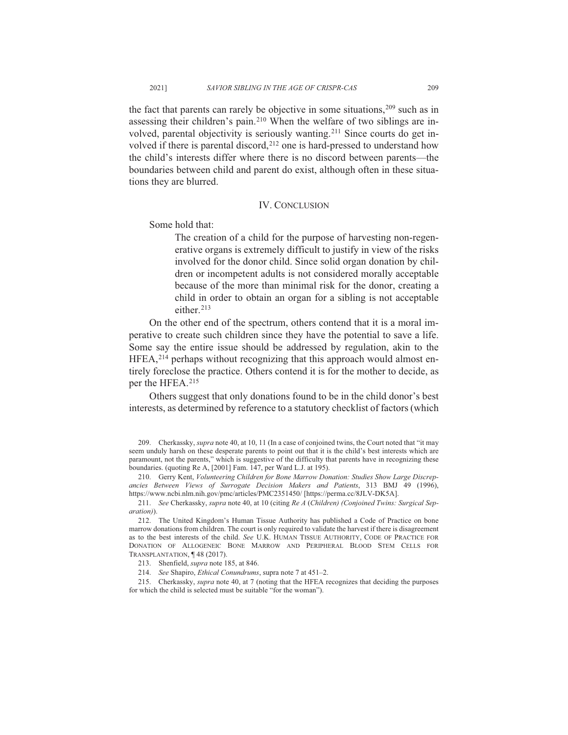the fact that parents can rarely be objective in some situations, 209 such as in assessing their children's pain.<sup>210</sup> When the welfare of two siblings are involved, parental objectivity is seriously wanting.<sup>211</sup> Since courts do get involved if there is parental discord,<sup>212</sup> one is hard-pressed to understand how the child's interests differ where there is no discord between parents—the boundaries between child and parent do exist, although often in these situations they are blurred.

#### **IV. CONCLUSION**

Some hold that:

The creation of a child for the purpose of harvesting non-regenerative organs is extremely difficult to justify in view of the risks involved for the donor child. Since solid organ donation by children or incompetent adults is not considered morally acceptable because of the more than minimal risk for the donor, creating a child in order to obtain an organ for a sibling is not acceptable either.<sup>213</sup>

On the other end of the spectrum, others contend that it is a moral imperative to create such children since they have the potential to save a life. Some say the entire issue should be addressed by regulation, akin to the HFEA,<sup>214</sup> perhaps without recognizing that this approach would almost entirely foreclose the practice. Others contend it is for the mother to decide, as per the HFEA.<sup>215</sup>

Others suggest that only donations found to be in the child donor's best interests, as determined by reference to a statutory checklist of factors (which

211. See Cherkassky, supra note 40, at 10 (citing Re A (Children) (Conjoined Twins: Surgical Separation)).

212. The United Kingdom's Human Tissue Authority has published a Code of Practice on bone marrow donations from children. The court is only required to validate the harvest if there is disagreement as to the best interests of the child. See U.K. HUMAN TISSUE AUTHORITY, CODE OF PRACTICE FOR DONATION OF ALLOGENEIC BONE MARROW AND PERIPHERAL BLOOD STEM CELLS FOR TRANSPLANTATION, 148 (2017).

214. See Shapiro, *Ethical Conundrums*, supra note 7 at 451-2.

215. Cherkassky, *supra* note 40, at 7 (noting that the HFEA recognizes that deciding the purposes for which the child is selected must be suitable "for the woman").

<sup>209.</sup> Cherkassky, supra note 40, at 10, 11 (In a case of conjoined twins, the Court noted that "it may seem unduly harsh on these desperate parents to point out that it is the child's best interests which are paramount, not the parents," which is suggestive of the difficulty that parents have in recognizing these boundaries. (quoting Re A, [2001] Fam. 147, per Ward L.J. at 195).

<sup>210.</sup> Gerry Kent, Volunteering Children for Bone Marrow Donation: Studies Show Large Discrepancies Between Views of Surrogate Decision Makers and Patients, 313 BMJ 49 (1996), https://www.ncbi.nlm.nih.gov/pmc/articles/PMC2351450/ [https://perma.cc/8JLV-DK5A].

<sup>213.</sup> Shenfield, *supra* note 185, at 846.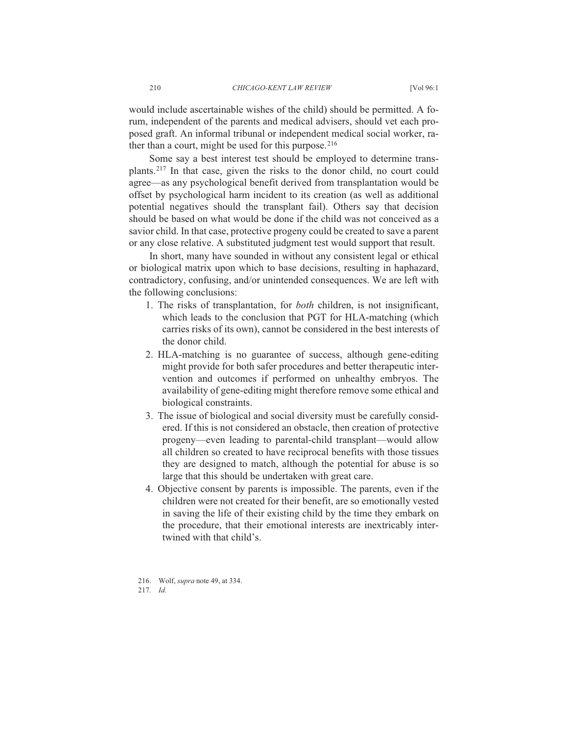would include ascertainable wishes of the child) should be permitted. A forum, independent of the parents and medical advisers, should vet each proposed graft. An informal tribunal or independent medical social worker, rather than a court, might be used for this purpose.<sup>216</sup>

Some say a best interest test should be employed to determine transplants.<sup>217</sup> In that case, given the risks to the donor child, no court could agree—as any psychological benefit derived from transplantation would be offset by psychological harm incident to its creation (as well as additional potential negatives should the transplant fail). Others say that decision should be based on what would be done if the child was not conceived as a savior child. In that case, protective progeny could be created to save a parent or any close relative. A substituted judgment test would support that result.

In short, many have sounded in without any consistent legal or ethical or biological matrix upon which to base decisions, resulting in haphazard, contradictory, confusing, and/or unintended consequences. We are left with the following conclusions:

- 1. The risks of transplantation, for *both* children, is not insignificant, which leads to the conclusion that PGT for HLA-matching (which carries risks of its own), cannot be considered in the best interests of the donor child
- 2. HLA-matching is no guarantee of success, although gene-editing might provide for both safer procedures and better therapeutic intervention and outcomes if performed on unhealthy embryos. The availability of gene-editing might therefore remove some ethical and biological constraints.
- 3. The issue of biological and social diversity must be carefully considered. If this is not considered an obstacle, then creation of protective progeny—even leading to parental-child transplant—would allow all children so created to have reciprocal benefits with those tissues they are designed to match, although the potential for abuse is so large that this should be undertaken with great care.
- 4. Objective consent by parents is impossible. The parents, even if the children were not created for their benefit, are so emotionally vested in saving the life of their existing child by the time they embark on the procedure, that their emotional interests are inextricably intertwined with that child's.
- 216. Wolf, *supra* note 49, at 334. 2.17 Id.